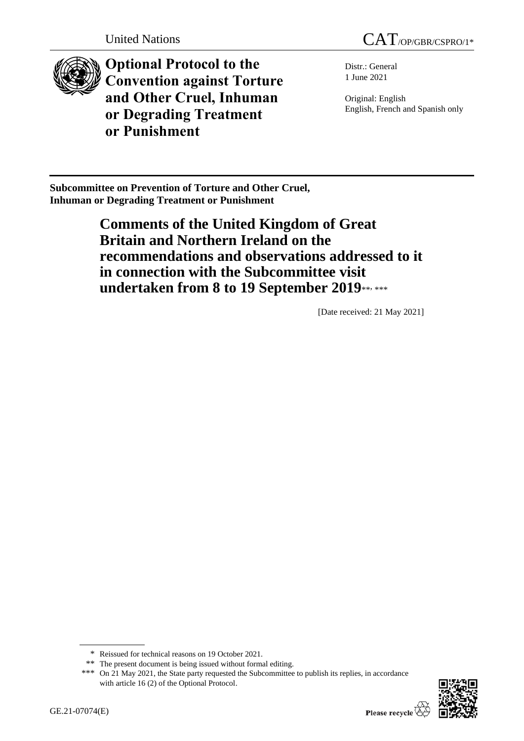



**Optional Protocol to the Convention against Torture and Other Cruel, Inhuman or Degrading Treatment or Punishment**

Distr.: General 1 June 2021

Original: English English, French and Spanish only

**Subcommittee on Prevention of Torture and Other Cruel, Inhuman or Degrading Treatment or Punishment**

> **Comments of the United Kingdom of Great Britain and Northern Ireland on the recommendations and observations addressed to it in connection with the Subcommittee visit**  undertaken from 8 to 19 September 2019\*\*\*\*\*\*

> > [Date received: 21 May 2021]

<sup>\*\*\*</sup> On 21 May 2021, the State party requested the Subcommittee to publish its replies, in accordance with article 16 (2) of the Optional Protocol.



<sup>\*</sup> Reissued for technical reasons on 19 October 2021.

<sup>\*\*</sup> The present document is being issued without formal editing.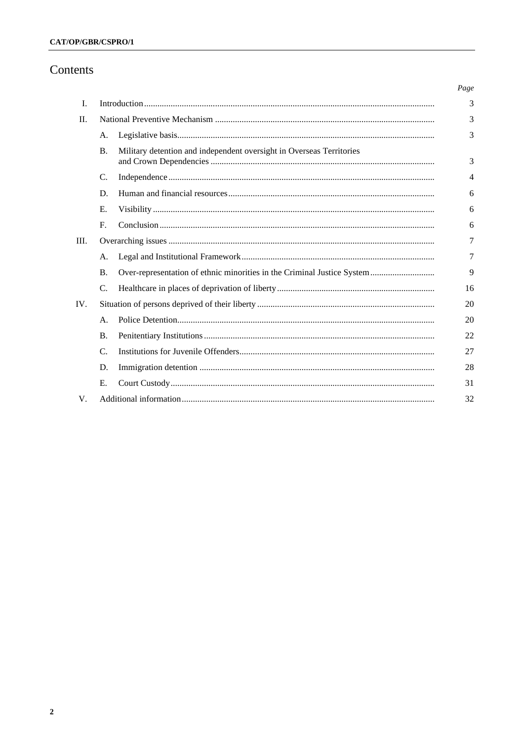# Contents

|     |                 |                                                                         | Page |
|-----|-----------------|-------------------------------------------------------------------------|------|
| I.  |                 |                                                                         | 3    |
| II. |                 |                                                                         | 3    |
|     | A.              |                                                                         | 3    |
|     | <b>B.</b>       | Military detention and independent oversight in Overseas Territories    | 3    |
|     | C.              |                                                                         | 4    |
|     | D.              |                                                                         | 6    |
|     | Е.              |                                                                         | 6    |
|     | $F_{\cdot}$     |                                                                         | 6    |
| Ш.  |                 |                                                                         |      |
|     | A.              |                                                                         | 7    |
|     | <b>B.</b>       | Over-representation of ethnic minorities in the Criminal Justice System | 9    |
|     | C.              |                                                                         | 16   |
| IV. |                 |                                                                         |      |
|     | A <sub>1</sub>  |                                                                         | 20   |
|     | <b>B.</b>       |                                                                         | 22   |
|     | $\mathcal{C}$ . |                                                                         | 27   |
|     | D.              |                                                                         | 28   |
|     | Е.              |                                                                         | 31   |
| V.  |                 |                                                                         | 32   |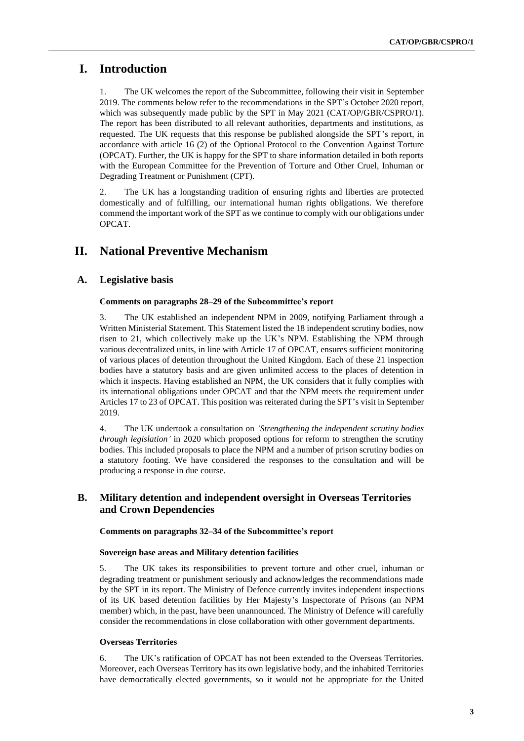# **I. Introduction**

1. The UK welcomes the report of the Subcommittee, following their visit in September 2019. The comments below refer to the recommendations in the SPT's October 2020 report, which was subsequently made public by the SPT in May 2021 (CAT/OP/GBR/CSPRO/1). The report has been distributed to all relevant authorities, departments and institutions, as requested. The UK requests that this response be published alongside the SPT's report, in accordance with article 16 (2) of the Optional Protocol to the Convention Against Torture (OPCAT). Further, the UK is happy for the SPT to share information detailed in both reports with the European Committee for the Prevention of Torture and Other Cruel, Inhuman or Degrading Treatment or Punishment (CPT).

2. The UK has a longstanding tradition of ensuring rights and liberties are protected domestically and of fulfilling, our international human rights obligations. We therefore commend the important work of the SPT as we continue to comply with our obligations under OPCAT.

# **II. National Preventive Mechanism**

# **A. Legislative basis**

#### **Comments on paragraphs 28–29 of the Subcommittee's report**

3. The UK established an independent NPM in 2009, notifying Parliament through a Written Ministerial Statement. This Statement listed the 18 independent scrutiny bodies, now risen to 21, which collectively make up the UK's NPM. Establishing the NPM through various decentralized units, in line with Article 17 of OPCAT, ensures sufficient monitoring of various places of detention throughout the United Kingdom. Each of these 21 inspection bodies have a statutory basis and are given unlimited access to the places of detention in which it inspects. Having established an NPM, the UK considers that it fully complies with its international obligations under OPCAT and that the NPM meets the requirement under Articles 17 to 23 of OPCAT. This position was reiterated during the SPT's visit in September 2019.

4. The UK undertook a consultation on *'Strengthening the independent scrutiny bodies through legislation'* in 2020 which proposed options for reform to strengthen the scrutiny bodies. This included proposals to place the NPM and a number of prison scrutiny bodies on a statutory footing. We have considered the responses to the consultation and will be producing a response in due course.

# **B. Military detention and independent oversight in Overseas Territories and Crown Dependencies**

#### **Comments on paragraphs 32–34 of the Subcommittee's report**

#### **Sovereign base areas and Military detention facilities**

5. The UK takes its responsibilities to prevent torture and other cruel, inhuman or degrading treatment or punishment seriously and acknowledges the recommendations made by the SPT in its report. The Ministry of Defence currently invites independent inspections of its UK based detention facilities by Her Majesty's Inspectorate of Prisons (an NPM member) which, in the past, have been unannounced. The Ministry of Defence will carefully consider the recommendations in close collaboration with other government departments.

# **Overseas Territories**

6. The UK's ratification of OPCAT has not been extended to the Overseas Territories. Moreover, each Overseas Territory has its own legislative body, and the inhabited Territories have democratically elected governments, so it would not be appropriate for the United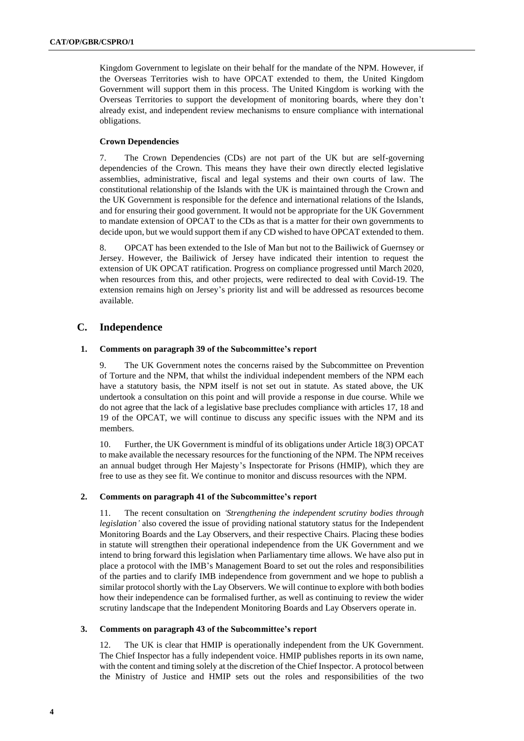Kingdom Government to legislate on their behalf for the mandate of the NPM. However, if the Overseas Territories wish to have OPCAT extended to them, the United Kingdom Government will support them in this process. The United Kingdom is working with the Overseas Territories to support the development of monitoring boards, where they don't already exist, and independent review mechanisms to ensure compliance with international obligations.

### **Crown Dependencies**

7. The Crown Dependencies (CDs) are not part of the UK but are self-governing dependencies of the Crown. This means they have their own directly elected legislative assemblies, administrative, fiscal and legal systems and their own courts of law. The constitutional relationship of the Islands with the UK is maintained through the Crown and the UK Government is responsible for the defence and international relations of the Islands, and for ensuring their good government. It would not be appropriate for the UK Government to mandate extension of OPCAT to the CDs as that is a matter for their own governments to decide upon, but we would support them if any CD wished to have OPCAT extended to them.

8. OPCAT has been extended to the Isle of Man but not to the Bailiwick of Guernsey or Jersey. However, the Bailiwick of Jersey have indicated their intention to request the extension of UK OPCAT ratification. Progress on compliance progressed until March 2020, when resources from this, and other projects, were redirected to deal with Covid-19. The extension remains high on Jersey's priority list and will be addressed as resources become available.

# **C. Independence**

### **1. Comments on paragraph 39 of the Subcommittee's report**

9. The UK Government notes the concerns raised by the Subcommittee on Prevention of Torture and the NPM, that whilst the individual independent members of the NPM each have a statutory basis, the NPM itself is not set out in statute. As stated above, the UK undertook a consultation on this point and will provide a response in due course. While we do not agree that the lack of a legislative base precludes compliance with articles 17, 18 and 19 of the OPCAT, we will continue to discuss any specific issues with the NPM and its members.

10. Further, the UK Government is mindful of its obligations under Article 18(3) OPCAT to make available the necessary resources for the functioning of the NPM. The NPM receives an annual budget through Her Majesty's Inspectorate for Prisons (HMIP), which they are free to use as they see fit. We continue to monitor and discuss resources with the NPM.

### **2. Comments on paragraph 41 of the Subcommittee's report**

11. The recent consultation on *'Strengthening the independent scrutiny bodies through legislation'* also covered the issue of providing national statutory status for the Independent Monitoring Boards and the Lay Observers, and their respective Chairs. Placing these bodies in statute will strengthen their operational independence from the UK Government and we intend to bring forward this legislation when Parliamentary time allows. We have also put in place a protocol with the IMB's Management Board to set out the roles and responsibilities of the parties and to clarify IMB independence from government and we hope to publish a similar protocol shortly with the Lay Observers. We will continue to explore with both bodies how their independence can be formalised further, as well as continuing to review the wider scrutiny landscape that the Independent Monitoring Boards and Lay Observers operate in.

#### **3. Comments on paragraph 43 of the Subcommittee's report**

12. The UK is clear that HMIP is operationally independent from the UK Government. The Chief Inspector has a fully independent voice. HMIP publishes reports in its own name, with the content and timing solely at the discretion of the Chief Inspector. A protocol between the Ministry of Justice and HMIP sets out the roles and responsibilities of the two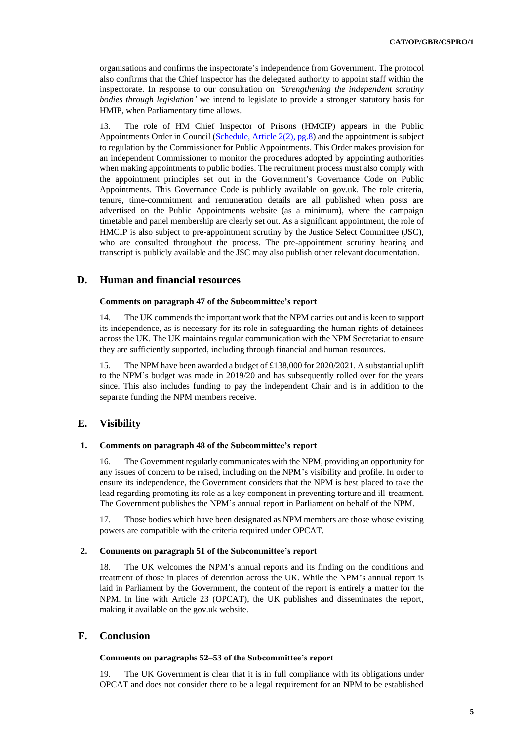organisations and confirms the inspectorate's independence from Government. The protocol also confirms that the Chief Inspector has the delegated authority to appoint staff within the inspectorate. In response to our consultation on *'Strengthening the independent scrutiny bodies through legislation'* we intend to legislate to provide a stronger statutory basis for HMIP, when Parliamentary time allows.

13. The role of HM Chief Inspector of Prisons (HMCIP) appears in the Public Appointments Order in Council [\(Schedule, Article 2\(2\), pg.8\)](https://39h2q54dv7u74bwyae2bp396-wpengine.netdna-ssl.com/wp-content/uploads/2019/11/Public-Appointments-No.-2-Order-in-Council-2019.pdf) and the appointment is subject to regulation by the Commissioner for Public Appointments. This Order makes provision for an independent Commissioner to monitor the procedures adopted by appointing authorities when making appointments to public bodies. The recruitment process must also comply with the appointment principles set out in the Government's Governance Code on Public Appointments. This Governance Code is publicly available on gov.uk. The role criteria, tenure, time-commitment and remuneration details are all published when posts are advertised on the Public Appointments website (as a minimum), where the campaign timetable and panel membership are clearly set out. As a significant appointment, the role of HMCIP is also subject to pre-appointment scrutiny by the Justice Select Committee (JSC), who are consulted throughout the process. The pre-appointment scrutiny hearing and transcript is publicly available and the JSC may also publish other relevant documentation.

# **D. Human and financial resources**

#### **Comments on paragraph 47 of the Subcommittee's report**

14. The UK commends the important work that the NPM carries out and is keen to support its independence, as is necessary for its role in safeguarding the human rights of detainees across the UK. The UK maintains regular communication with the NPM Secretariat to ensure they are sufficiently supported, including through financial and human resources.

15. The NPM have been awarded a budget of £138,000 for 2020/2021. A substantial uplift to the NPM's budget was made in 2019/20 and has subsequently rolled over for the years since. This also includes funding to pay the independent Chair and is in addition to the separate funding the NPM members receive.

# **E. Visibility**

## **1. Comments on paragraph 48 of the Subcommittee's report**

16. The Government regularly communicates with the NPM, providing an opportunity for any issues of concern to be raised, including on the NPM's visibility and profile. In order to ensure its independence, the Government considers that the NPM is best placed to take the lead regarding promoting its role as a key component in preventing torture and ill-treatment. The Government publishes the NPM's annual report in Parliament on behalf of the NPM.

17. Those bodies which have been designated as NPM members are those whose existing powers are compatible with the criteria required under OPCAT.

#### **2. Comments on paragraph 51 of the Subcommittee's report**

18. The UK welcomes the NPM's annual reports and its finding on the conditions and treatment of those in places of detention across the UK. While the NPM's annual report is laid in Parliament by the Government, the content of the report is entirely a matter for the NPM. In line with Article 23 (OPCAT), the UK publishes and disseminates the report, making it available on the gov.uk website.

# **F. Conclusion**

#### **Comments on paragraphs 52–53 of the Subcommittee's report**

19. The UK Government is clear that it is in full compliance with its obligations under OPCAT and does not consider there to be a legal requirement for an NPM to be established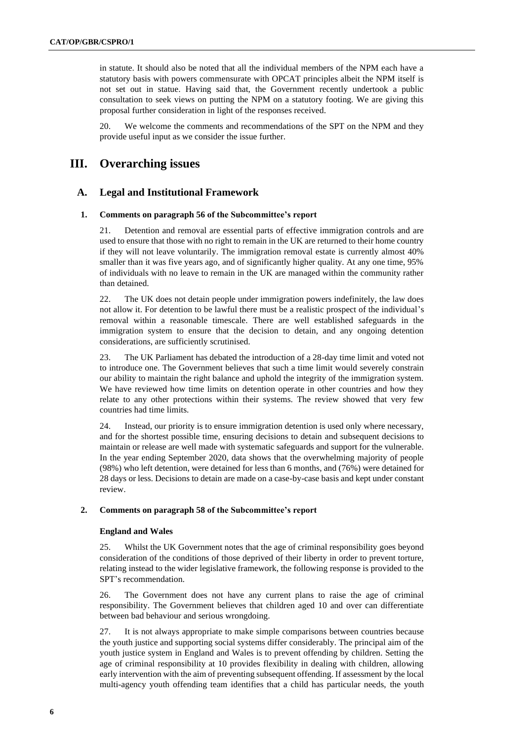in statute. It should also be noted that all the individual members of the NPM each have a statutory basis with powers commensurate with OPCAT principles albeit the NPM itself is not set out in statue. Having said that, the Government recently undertook a public consultation to seek views on putting the NPM on a statutory footing. We are giving this proposal further consideration in light of the responses received.

20. We welcome the comments and recommendations of the SPT on the NPM and they provide useful input as we consider the issue further.

# **III. Overarching issues**

# **A. Legal and Institutional Framework**

#### **1. Comments on paragraph 56 of the Subcommittee's report**

21. Detention and removal are essential parts of effective immigration controls and are used to ensure that those with no right to remain in the UK are returned to their home country if they will not leave voluntarily. The immigration removal estate is currently almost 40% smaller than it was five years ago, and of significantly higher quality. At any one time, 95% of individuals with no leave to remain in the UK are managed within the community rather than detained.

22. The UK does not detain people under immigration powers indefinitely, the law does not allow it. For detention to be lawful there must be a realistic prospect of the individual's removal within a reasonable timescale. There are well established safeguards in the immigration system to ensure that the decision to detain, and any ongoing detention considerations, are sufficiently scrutinised.

23. The UK Parliament has debated the introduction of a 28-day time limit and voted not to introduce one. The Government believes that such a time limit would severely constrain our ability to maintain the right balance and uphold the integrity of the immigration system. We have reviewed how time limits on detention operate in other countries and how they relate to any other protections within their systems. The review showed that very few countries had time limits.

24. Instead, our priority is to ensure immigration detention is used only where necessary, and for the shortest possible time, ensuring decisions to detain and subsequent decisions to maintain or release are well made with systematic safeguards and support for the vulnerable. In the year ending September 2020, data shows that the overwhelming majority of people (98%) who left detention, were detained for less than 6 months, and (76%) were detained for 28 days or less. Decisions to detain are made on a case-by-case basis and kept under constant review.

#### **2. Comments on paragraph 58 of the Subcommittee's report**

#### **England and Wales**

25. Whilst the UK Government notes that the age of criminal responsibility goes beyond consideration of the conditions of those deprived of their liberty in order to prevent torture, relating instead to the wider legislative framework, the following response is provided to the SPT's recommendation.

26. The Government does not have any current plans to raise the age of criminal responsibility. The Government believes that children aged 10 and over can differentiate between bad behaviour and serious wrongdoing.

27. It is not always appropriate to make simple comparisons between countries because the youth justice and supporting social systems differ considerably. The principal aim of the youth justice system in England and Wales is to prevent offending by children. Setting the age of criminal responsibility at 10 provides flexibility in dealing with children, allowing early intervention with the aim of preventing subsequent offending. If assessment by the local multi-agency youth offending team identifies that a child has particular needs, the youth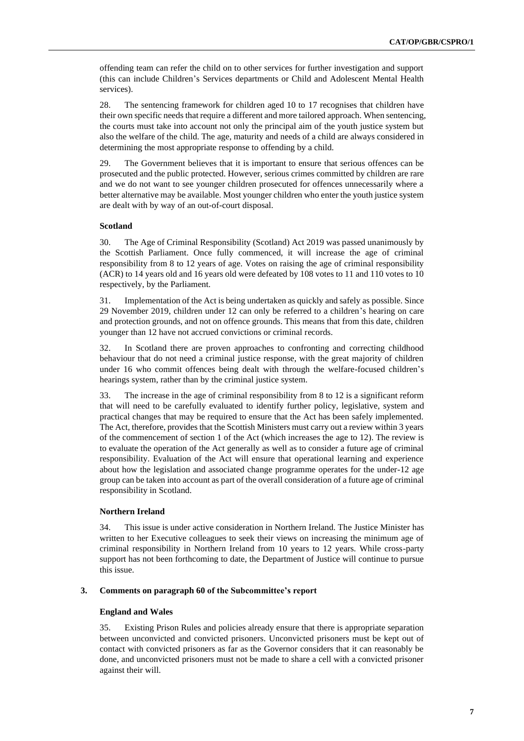offending team can refer the child on to other services for further investigation and support (this can include Children's Services departments or Child and Adolescent Mental Health services).

28. The sentencing framework for children aged 10 to 17 recognises that children have their own specific needs that require a different and more tailored approach. When sentencing, the courts must take into account not only the principal aim of the youth justice system but also the welfare of the child. The age, maturity and needs of a child are always considered in determining the most appropriate response to offending by a child.

29. The Government believes that it is important to ensure that serious offences can be prosecuted and the public protected. However, serious crimes committed by children are rare and we do not want to see younger children prosecuted for offences unnecessarily where a better alternative may be available. Most younger children who enter the youth justice system are dealt with by way of an out-of-court disposal.

# **Scotland**

30. The Age of Criminal Responsibility (Scotland) Act 2019 was passed unanimously by the Scottish Parliament. Once fully commenced, it will increase the age of criminal responsibility from 8 to 12 years of age. Votes on raising the age of criminal responsibility (ACR) to 14 years old and 16 years old were defeated by 108 votes to 11 and 110 votes to 10 respectively, by the Parliament.

31. Implementation of the Act is being undertaken as quickly and safely as possible. Since 29 November 2019, children under 12 can only be referred to a children's hearing on care and protection grounds, and not on offence grounds. This means that from this date, children younger than 12 have not accrued convictions or criminal records.

32. In Scotland there are proven approaches to confronting and correcting childhood behaviour that do not need a criminal justice response, with the great majority of children under 16 who commit offences being dealt with through the welfare-focused children's hearings system, rather than by the criminal justice system.

33. The increase in the age of criminal responsibility from 8 to 12 is a significant reform that will need to be carefully evaluated to identify further policy, legislative, system and practical changes that may be required to ensure that the Act has been safely implemented. The Act, therefore, provides that the Scottish Ministers must carry out a review within 3 years of the commencement of section 1 of the Act (which increases the age to 12). The review is to evaluate the operation of the Act generally as well as to consider a future age of criminal responsibility. Evaluation of the Act will ensure that operational learning and experience about how the legislation and associated change programme operates for the under-12 age group can be taken into account as part of the overall consideration of a future age of criminal responsibility in Scotland.

#### **Northern Ireland**

34. This issue is under active consideration in Northern Ireland. The Justice Minister has written to her Executive colleagues to seek their views on increasing the minimum age of criminal responsibility in Northern Ireland from 10 years to 12 years. While cross-party support has not been forthcoming to date, the Department of Justice will continue to pursue this issue.

# **3. Comments on paragraph 60 of the Subcommittee's report**

#### **England and Wales**

35. Existing Prison Rules and policies already ensure that there is appropriate separation between unconvicted and convicted prisoners. Unconvicted prisoners must be kept out of contact with convicted prisoners as far as the Governor considers that it can reasonably be done, and unconvicted prisoners must not be made to share a cell with a convicted prisoner against their will.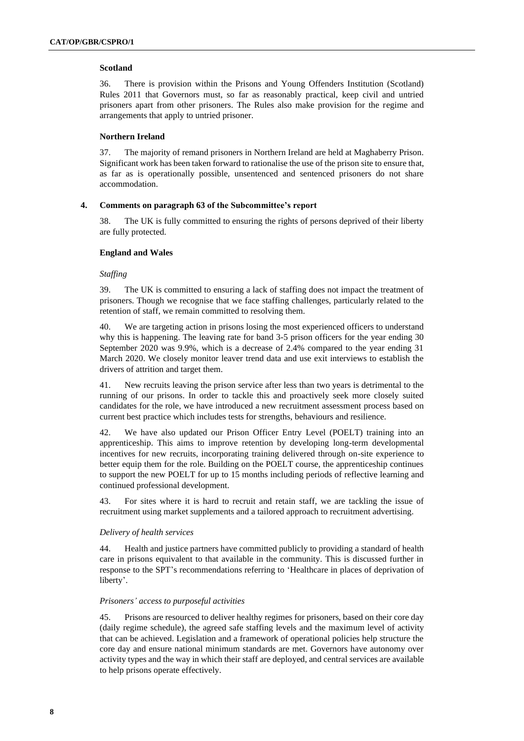# **Scotland**

36. There is provision within the Prisons and Young Offenders Institution (Scotland) Rules 2011 that Governors must, so far as reasonably practical, keep civil and untried prisoners apart from other prisoners. The Rules also make provision for the regime and arrangements that apply to untried prisoner.

#### **Northern Ireland**

37. The majority of remand prisoners in Northern Ireland are held at Maghaberry Prison. Significant work has been taken forward to rationalise the use of the prison site to ensure that, as far as is operationally possible, unsentenced and sentenced prisoners do not share accommodation.

#### **4. Comments on paragraph 63 of the Subcommittee's report**

38. The UK is fully committed to ensuring the rights of persons deprived of their liberty are fully protected.

#### **England and Wales**

#### *Staffing*

39. The UK is committed to ensuring a lack of staffing does not impact the treatment of prisoners. Though we recognise that we face staffing challenges, particularly related to the retention of staff, we remain committed to resolving them.

40. We are targeting action in prisons losing the most experienced officers to understand why this is happening. The leaving rate for band 3-5 prison officers for the year ending 30 September 2020 was 9.9%, which is a decrease of 2.4% compared to the year ending 31 March 2020. We closely monitor leaver trend data and use exit interviews to establish the drivers of attrition and target them.

41. New recruits leaving the prison service after less than two years is detrimental to the running of our prisons. In order to tackle this and proactively seek more closely suited candidates for the role, we have introduced a new recruitment assessment process based on current best practice which includes tests for strengths, behaviours and resilience.

42. We have also updated our Prison Officer Entry Level (POELT) training into an apprenticeship. This aims to improve retention by developing long-term developmental incentives for new recruits, incorporating training delivered through on-site experience to better equip them for the role. Building on the POELT course, the apprenticeship continues to support the new POELT for up to 15 months including periods of reflective learning and continued professional development.

43. For sites where it is hard to recruit and retain staff, we are tackling the issue of recruitment using market supplements and a tailored approach to recruitment advertising.

#### *Delivery of health services*

44. Health and justice partners have committed publicly to providing a standard of health care in prisons equivalent to that available in the community. This is discussed further in response to the SPT's recommendations referring to 'Healthcare in places of deprivation of liberty'.

#### *Prisoners' access to purposeful activities*

45. Prisons are resourced to deliver healthy regimes for prisoners, based on their core day (daily regime schedule), the agreed safe staffing levels and the maximum level of activity that can be achieved. Legislation and a framework of operational policies help structure the core day and ensure national minimum standards are met. Governors have autonomy over activity types and the way in which their staff are deployed, and central services are available to help prisons operate effectively.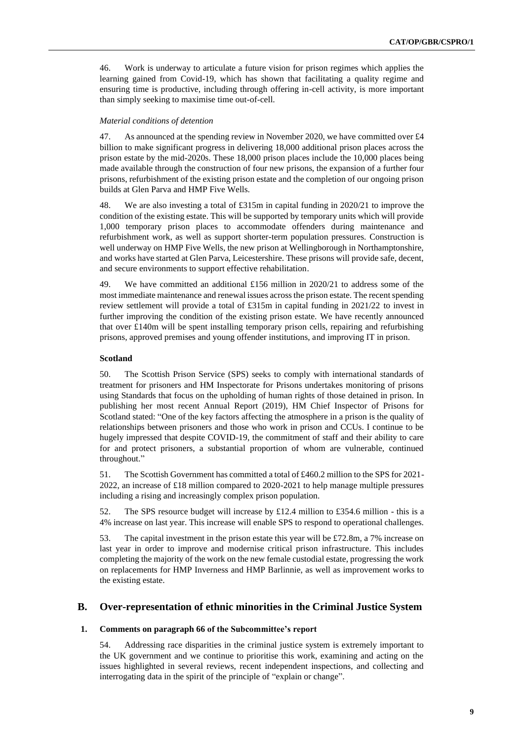46. Work is underway to articulate a future vision for prison regimes which applies the learning gained from Covid-19, which has shown that facilitating a quality regime and ensuring time is productive, including through offering in-cell activity, is more important than simply seeking to maximise time out-of-cell.

### *Material conditions of detention*

47. As announced at the spending review in November 2020, we have committed over £4 billion to make significant progress in delivering 18,000 additional prison places across the prison estate by the mid-2020s. These 18,000 prison places include the 10,000 places being made available through the construction of four new prisons, the expansion of a further four prisons, refurbishment of the existing prison estate and the completion of our ongoing prison builds at Glen Parva and HMP Five Wells.

48. We are also investing a total of £315m in capital funding in 2020/21 to improve the condition of the existing estate. This will be supported by temporary units which will provide 1,000 temporary prison places to accommodate offenders during maintenance and refurbishment work, as well as support shorter-term population pressures. Construction is well underway on HMP Five Wells, the new prison at Wellingborough in Northamptonshire, and works have started at Glen Parva, Leicestershire. These prisons will provide safe, decent, and secure environments to support effective rehabilitation.

49. We have committed an additional £156 million in 2020/21 to address some of the most immediate maintenance and renewal issues across the prison estate. The recent spending review settlement will provide a total of £315m in capital funding in 2021/22 to invest in further improving the condition of the existing prison estate. We have recently announced that over £140m will be spent installing temporary prison cells, repairing and refurbishing prisons, approved premises and young offender institutions, and improving IT in prison.

## **Scotland**

50. The Scottish Prison Service (SPS) seeks to comply with international standards of treatment for prisoners and HM Inspectorate for Prisons undertakes monitoring of prisons using Standards that focus on the upholding of human rights of those detained in prison. In publishing her most recent Annual Report (2019), HM Chief Inspector of Prisons for Scotland stated: "One of the key factors affecting the atmosphere in a prison is the quality of relationships between prisoners and those who work in prison and CCUs. I continue to be hugely impressed that despite COVID-19, the commitment of staff and their ability to care for and protect prisoners, a substantial proportion of whom are vulnerable, continued throughout."

51. The Scottish Government has committed a total of £460.2 million to the SPS for 2021- 2022, an increase of £18 million compared to 2020-2021 to help manage multiple pressures including a rising and increasingly complex prison population.

52. The SPS resource budget will increase by £12.4 million to £354.6 million - this is a 4% increase on last year. This increase will enable SPS to respond to operational challenges.

53. The capital investment in the prison estate this year will be £72.8m, a 7% increase on last year in order to improve and modernise critical prison infrastructure. This includes completing the majority of the work on the new female custodial estate, progressing the work on replacements for HMP Inverness and HMP Barlinnie, as well as improvement works to the existing estate.

# **B. Over-representation of ethnic minorities in the Criminal Justice System**

#### **1. Comments on paragraph 66 of the Subcommittee's report**

54. Addressing race disparities in the criminal justice system is extremely important to the UK government and we continue to prioritise this work, examining and acting on the issues highlighted in several reviews, recent independent inspections, and collecting and interrogating data in the spirit of the principle of "explain or change".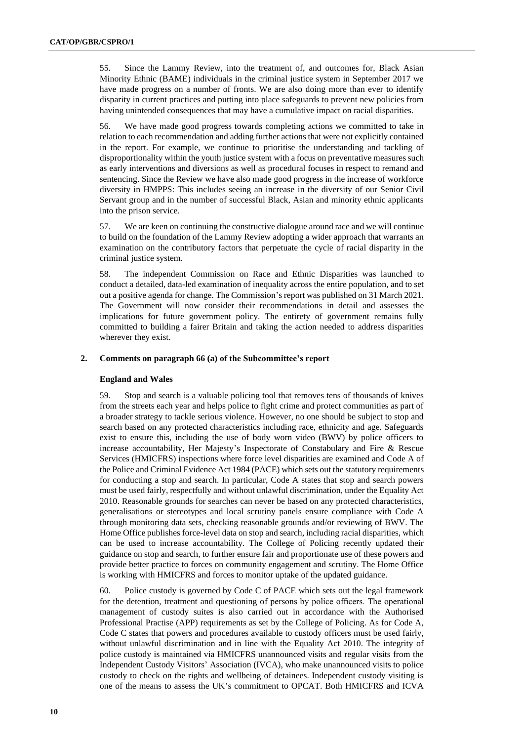55. Since the Lammy Review, into the treatment of, and outcomes for, Black Asian Minority Ethnic (BAME) individuals in the criminal justice system in September 2017 we have made progress on a number of fronts. We are also doing more than ever to identify disparity in current practices and putting into place safeguards to prevent new policies from having unintended consequences that may have a cumulative impact on racial disparities.

56. We have made good progress towards completing actions we committed to take in relation to each recommendation and adding further actions that were not explicitly contained in the report. For example, we continue to prioritise the understanding and tackling of disproportionality within the youth justice system with a focus on preventative measures such as early interventions and diversions as well as procedural focuses in respect to remand and sentencing. Since the Review we have also made good progress in the increase of workforce diversity in HMPPS: This includes seeing an increase in the diversity of our Senior Civil Servant group and in the number of successful Black, Asian and minority ethnic applicants into the prison service.

57. We are keen on continuing the constructive dialogue around race and we will continue to build on the foundation of the Lammy Review adopting a wider approach that warrants an examination on the contributory factors that perpetuate the cycle of racial disparity in the criminal justice system.

58. The independent Commission on Race and Ethnic Disparities was launched to conduct a detailed, data-led examination of inequality across the entire population, and to set out a positive agenda for change. The Commission's report was published on 31 March 2021. The Government will now consider their recommendations in detail and assesses the implications for future government policy. The entirety of government remains fully committed to building a fairer Britain and taking the action needed to address disparities wherever they exist.

#### **2. Comments on paragraph 66 (a) of the Subcommittee's report**

#### **England and Wales**

59. Stop and search is a valuable policing tool that removes tens of thousands of knives from the streets each year and helps police to fight crime and protect communities as part of a broader strategy to tackle serious violence. However, no one should be subject to stop and search based on any protected characteristics including race, ethnicity and age. Safeguards exist to ensure this, including the use of body worn video (BWV) by police officers to increase accountability, Her Majesty's Inspectorate of Constabulary and Fire & Rescue Services (HMICFRS) inspections where force level disparities are examined and Code A of the Police and Criminal Evidence Act 1984 (PACE) which sets out the statutory requirements for conducting a stop and search. In particular, Code A states that stop and search powers must be used fairly, respectfully and without unlawful discrimination, under the Equality Act 2010. Reasonable grounds for searches can never be based on any protected characteristics, generalisations or stereotypes and local scrutiny panels ensure compliance with Code A through monitoring data sets, checking reasonable grounds and/or reviewing of BWV. The Home Office publishes force-level data on stop and search, including racial disparities, which can be used to increase accountability. The College of Policing recently updated their guidance on stop and search, to further ensure fair and proportionate use of these powers and provide better practice to forces on community engagement and scrutiny. The Home Office is working with HMICFRS and forces to monitor uptake of the updated guidance.

60. Police custody is governed by Code C of PACE which sets out the legal framework for the detention, treatment and questioning of persons by police officers. The operational management of custody suites is also carried out in accordance with the Authorised Professional Practise (APP) requirements as set by the College of Policing. As for Code A, Code C states that powers and procedures available to custody officers must be used fairly, without unlawful discrimination and in line with the Equality Act 2010. The integrity of police custody is maintained via HMICFRS unannounced visits and regular visits from the Independent Custody Visitors' Association (IVCA), who make unannounced visits to police custody to check on the rights and wellbeing of detainees. Independent custody visiting is one of the means to assess the UK's commitment to OPCAT. Both HMICFRS and ICVA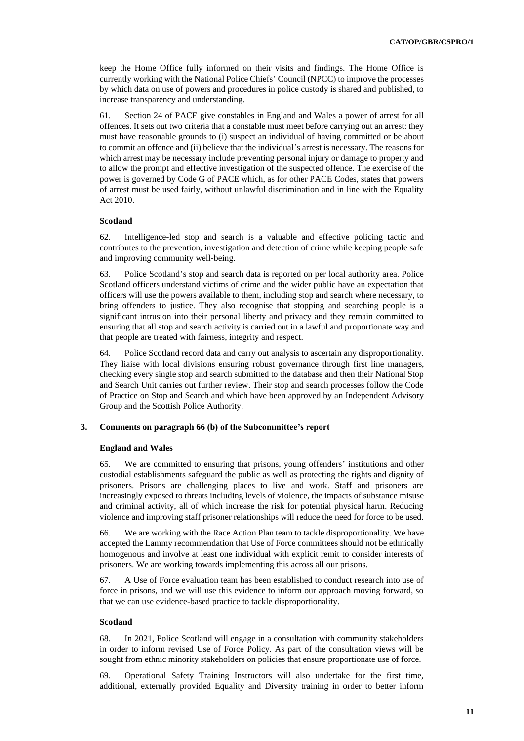keep the Home Office fully informed on their visits and findings. The Home Office is currently working with the National Police Chiefs' Council (NPCC) to improve the processes by which data on use of powers and procedures in police custody is shared and published, to increase transparency and understanding.

61. Section 24 of PACE give constables in England and Wales a power of arrest for all offences. It sets out two criteria that a constable must meet before carrying out an arrest: they must have reasonable grounds to (i) suspect an individual of having committed or be about to commit an offence and (ii) believe that the individual's arrest is necessary. The reasons for which arrest may be necessary include preventing personal injury or damage to property and to allow the prompt and effective investigation of the suspected offence. The exercise of the power is governed by Code G of PACE which, as for other PACE Codes, states that powers of arrest must be used fairly, without unlawful discrimination and in line with the Equality Act 2010.

### **Scotland**

62. Intelligence-led stop and search is a valuable and effective policing tactic and contributes to the prevention, investigation and detection of crime while keeping people safe and improving community well-being.

63. Police Scotland's stop and search data is reported on per local authority area. Police Scotland officers understand victims of crime and the wider public have an expectation that officers will use the powers available to them, including stop and search where necessary, to bring offenders to justice. They also recognise that stopping and searching people is a significant intrusion into their personal liberty and privacy and they remain committed to ensuring that all stop and search activity is carried out in a lawful and proportionate way and that people are treated with fairness, integrity and respect.

64. Police Scotland record data and carry out analysis to ascertain any disproportionality. They liaise with local divisions ensuring robust governance through first line managers, checking every single stop and search submitted to the database and then their National Stop and Search Unit carries out further review. Their stop and search processes follow the Code of Practice on Stop and Search and which have been approved by an Independent Advisory Group and the Scottish Police Authority.

#### **3. Comments on paragraph 66 (b) of the Subcommittee's report**

#### **England and Wales**

65. We are committed to ensuring that prisons, young offenders' institutions and other custodial establishments safeguard the public as well as protecting the rights and dignity of prisoners. Prisons are challenging places to live and work. Staff and prisoners are increasingly exposed to threats including levels of violence, the impacts of substance misuse and criminal activity, all of which increase the risk for potential physical harm. Reducing violence and improving staff prisoner relationships will reduce the need for force to be used.

66. We are working with the Race Action Plan team to tackle disproportionality. We have accepted the Lammy recommendation that Use of Force committees should not be ethnically homogenous and involve at least one individual with explicit remit to consider interests of prisoners. We are working towards implementing this across all our prisons.

67. A Use of Force evaluation team has been established to conduct research into use of force in prisons, and we will use this evidence to inform our approach moving forward, so that we can use evidence-based practice to tackle disproportionality.

#### **Scotland**

68. In 2021, Police Scotland will engage in a consultation with community stakeholders in order to inform revised Use of Force Policy. As part of the consultation views will be sought from ethnic minority stakeholders on policies that ensure proportionate use of force.

69. Operational Safety Training Instructors will also undertake for the first time, additional, externally provided Equality and Diversity training in order to better inform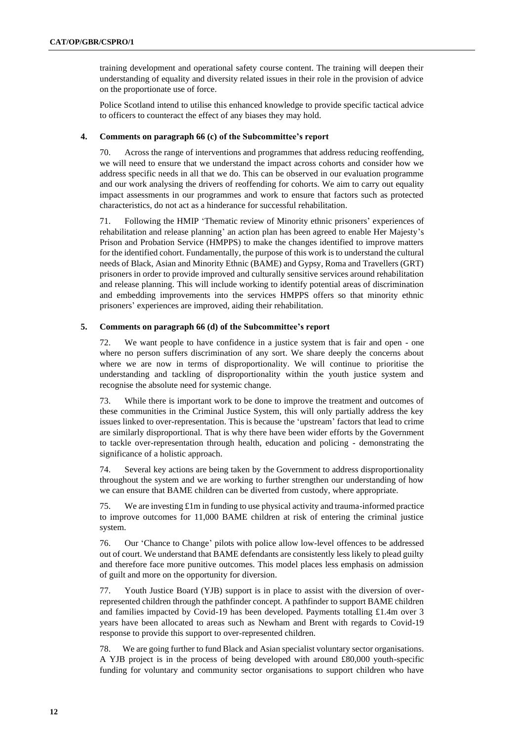training development and operational safety course content. The training will deepen their understanding of equality and diversity related issues in their role in the provision of advice on the proportionate use of force.

Police Scotland intend to utilise this enhanced knowledge to provide specific tactical advice to officers to counteract the effect of any biases they may hold.

#### **4. Comments on paragraph 66 (c) of the Subcommittee's report**

70. Across the range of interventions and programmes that address reducing reoffending, we will need to ensure that we understand the impact across cohorts and consider how we address specific needs in all that we do. This can be observed in our evaluation programme and our work analysing the drivers of reoffending for cohorts. We aim to carry out equality impact assessments in our programmes and work to ensure that factors such as protected characteristics, do not act as a hinderance for successful rehabilitation.

71. Following the HMIP 'Thematic review of Minority ethnic prisoners' experiences of rehabilitation and release planning' an action plan has been agreed to enable Her Majesty's Prison and Probation Service (HMPPS) to make the changes identified to improve matters for the identified cohort. Fundamentally, the purpose of this work is to understand the cultural needs of Black, Asian and Minority Ethnic (BAME) and Gypsy, Roma and Travellers (GRT) prisoners in order to provide improved and culturally sensitive services around rehabilitation and release planning. This will include working to identify potential areas of discrimination and embedding improvements into the services HMPPS offers so that minority ethnic prisoners' experiences are improved, aiding their rehabilitation.

# **5. Comments on paragraph 66 (d) of the Subcommittee's report**

72. We want people to have confidence in a justice system that is fair and open - one where no person suffers discrimination of any sort. We share deeply the concerns about where we are now in terms of disproportionality. We will continue to prioritise the understanding and tackling of disproportionality within the youth justice system and recognise the absolute need for systemic change.

73. While there is important work to be done to improve the treatment and outcomes of these communities in the Criminal Justice System, this will only partially address the key issues linked to over-representation. This is because the 'upstream' factors that lead to crime are similarly disproportional. That is why there have been wider efforts by the Government to tackle over-representation through health, education and policing - demonstrating the significance of a holistic approach.

74. Several key actions are being taken by the Government to address disproportionality throughout the system and we are working to further strengthen our understanding of how we can ensure that BAME children can be diverted from custody, where appropriate.

75. We are investing £1m in funding to use physical activity and trauma-informed practice to improve outcomes for 11,000 BAME children at risk of entering the criminal justice system.

76. Our 'Chance to Change' pilots with police allow low-level offences to be addressed out of court. We understand that BAME defendants are consistently less likely to plead guilty and therefore face more punitive outcomes. This model places less emphasis on admission of guilt and more on the opportunity for diversion.

77. Youth Justice Board (YJB) support is in place to assist with the diversion of overrepresented children through the pathfinder concept. A pathfinder to support BAME children and families impacted by Covid-19 has been developed. Payments totalling £1.4m over 3 years have been allocated to areas such as Newham and Brent with regards to Covid-19 response to provide this support to over-represented children.

78. We are going further to fund Black and Asian specialist voluntary sector organisations. A YJB project is in the process of being developed with around £80,000 youth-specific funding for voluntary and community sector organisations to support children who have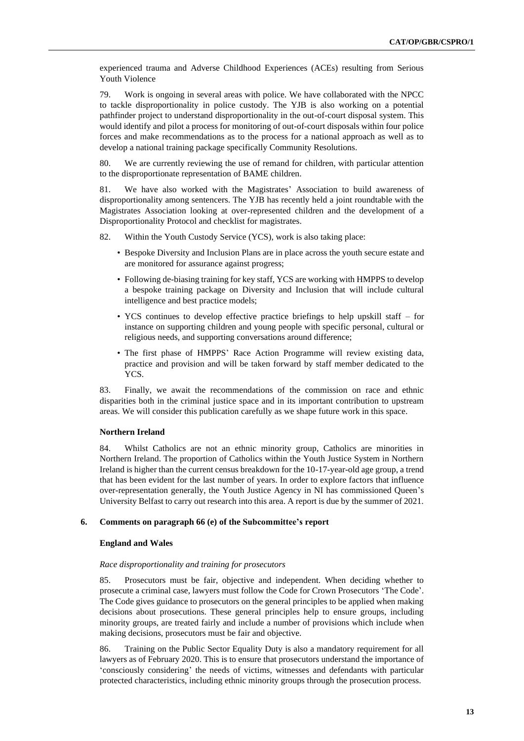experienced trauma and Adverse Childhood Experiences (ACEs) resulting from Serious Youth Violence

79. Work is ongoing in several areas with police. We have collaborated with the NPCC to tackle disproportionality in police custody. The YJB is also working on a potential pathfinder project to understand disproportionality in the out-of-court disposal system. This would identify and pilot a process for monitoring of out-of-court disposals within four police forces and make recommendations as to the process for a national approach as well as to develop a national training package specifically Community Resolutions.

80. We are currently reviewing the use of remand for children, with particular attention to the disproportionate representation of BAME children.

81. We have also worked with the Magistrates' Association to build awareness of disproportionality among sentencers. The YJB has recently held a joint roundtable with the Magistrates Association looking at over-represented children and the development of a Disproportionality Protocol and checklist for magistrates.

82. Within the Youth Custody Service (YCS), work is also taking place:

- Bespoke Diversity and Inclusion Plans are in place across the youth secure estate and are monitored for assurance against progress;
- Following de-biasing training for key staff, YCS are working with HMPPS to develop a bespoke training package on Diversity and Inclusion that will include cultural intelligence and best practice models;
- YCS continues to develop effective practice briefings to help upskill staff for instance on supporting children and young people with specific personal, cultural or religious needs, and supporting conversations around difference;
- The first phase of HMPPS' Race Action Programme will review existing data, practice and provision and will be taken forward by staff member dedicated to the YCS.

83. Finally, we await the recommendations of the commission on race and ethnic disparities both in the criminal justice space and in its important contribution to upstream areas. We will consider this publication carefully as we shape future work in this space.

#### **Northern Ireland**

84. Whilst Catholics are not an ethnic minority group, Catholics are minorities in Northern Ireland. The proportion of Catholics within the Youth Justice System in Northern Ireland is higher than the current census breakdown for the 10-17-year-old age group, a trend that has been evident for the last number of years. In order to explore factors that influence over-representation generally, the Youth Justice Agency in NI has commissioned Queen's University Belfast to carry out research into this area. A report is due by the summer of 2021.

#### **6. Comments on paragraph 66 (e) of the Subcommittee's report**

#### **England and Wales**

#### *Race disproportionality and training for prosecutors*

85. Prosecutors must be fair, objective and independent. When deciding whether to prosecute a criminal case, lawyers must follow the Code for Crown Prosecutors 'The Code'. The Code gives guidance to prosecutors on the general principles to be applied when making decisions about prosecutions. These general principles help to ensure groups, including minority groups, are treated fairly and include a number of provisions which include when making decisions, prosecutors must be fair and objective.

86. Training on the Public Sector Equality Duty is also a mandatory requirement for all lawyers as of February 2020. This is to ensure that prosecutors understand the importance of 'consciously considering' the needs of victims, witnesses and defendants with particular protected characteristics, including ethnic minority groups through the prosecution process.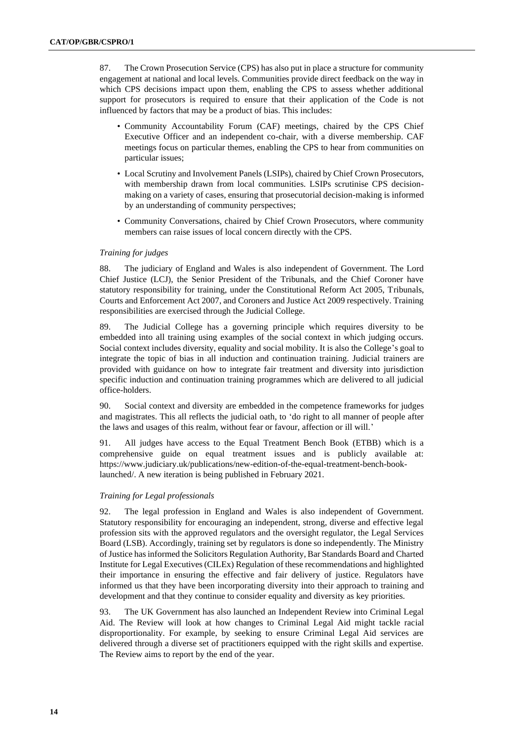87. The Crown Prosecution Service (CPS) has also put in place a structure for community engagement at national and local levels. Communities provide direct feedback on the way in which CPS decisions impact upon them, enabling the CPS to assess whether additional support for prosecutors is required to ensure that their application of the Code is not influenced by factors that may be a product of bias. This includes:

- Community Accountability Forum (CAF) meetings, chaired by the CPS Chief Executive Officer and an independent co-chair, with a diverse membership. CAF meetings focus on particular themes, enabling the CPS to hear from communities on particular issues;
- Local Scrutiny and Involvement Panels (LSIPs), chaired by Chief Crown Prosecutors, with membership drawn from local communities. LSIPs scrutinise CPS decisionmaking on a variety of cases, ensuring that prosecutorial decision-making is informed by an understanding of community perspectives;
- Community Conversations, chaired by Chief Crown Prosecutors, where community members can raise issues of local concern directly with the CPS.

### *Training for judges*

88. The judiciary of England and Wales is also independent of Government. The Lord Chief Justice (LCJ), the Senior President of the Tribunals, and the Chief Coroner have statutory responsibility for training, under the Constitutional Reform Act 2005, Tribunals, Courts and Enforcement Act 2007, and Coroners and Justice Act 2009 respectively. Training responsibilities are exercised through the Judicial College.

89. The Judicial College has a governing principle which requires diversity to be embedded into all training using examples of the social context in which judging occurs. Social context includes diversity, equality and social mobility. It is also the College's goal to integrate the topic of bias in all induction and continuation training. Judicial trainers are provided with guidance on how to integrate fair treatment and diversity into jurisdiction specific induction and continuation training programmes which are delivered to all judicial office-holders.

90. Social context and diversity are embedded in the competence frameworks for judges and magistrates. This all reflects the judicial oath, to 'do right to all manner of people after the laws and usages of this realm, without fear or favour, affection or ill will.'

91. All judges have access to the Equal Treatment Bench Book (ETBB) which is a comprehensive guide on equal treatment issues and is publicly available at: https://www.judiciary.uk/publications/new-edition-of-the-equal-treatment-bench-booklaunched/. A new iteration is being published in February 2021.

### *Training for Legal professionals*

92. The legal profession in England and Wales is also independent of Government. Statutory responsibility for encouraging an independent, strong, diverse and effective legal profession sits with the approved regulators and the oversight regulator, the Legal Services Board (LSB). Accordingly, training set by regulators is done so independently. The Ministry of Justice has informed the Solicitors Regulation Authority, Bar Standards Board and Charted Institute for Legal Executives (CILEx) Regulation of these recommendations and highlighted their importance in ensuring the effective and fair delivery of justice. Regulators have informed us that they have been incorporating diversity into their approach to training and development and that they continue to consider equality and diversity as key priorities.

93. The UK Government has also launched an Independent Review into Criminal Legal Aid. The Review will look at how changes to Criminal Legal Aid might tackle racial disproportionality. For example, by seeking to ensure Criminal Legal Aid services are delivered through a diverse set of practitioners equipped with the right skills and expertise. The Review aims to report by the end of the year.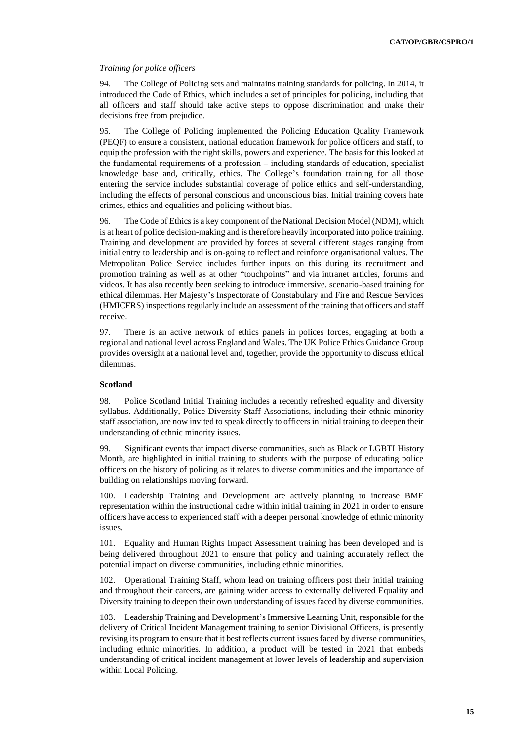#### *Training for police officers*

94. The College of Policing sets and maintains training standards for policing. In 2014, it introduced the Code of Ethics, which includes a set of principles for policing, including that all officers and staff should take active steps to oppose discrimination and make their decisions free from prejudice.

95. The College of Policing implemented the Policing Education Quality Framework (PEQF) to ensure a consistent, national education framework for police officers and staff, to equip the profession with the right skills, powers and experience. The basis for this looked at the fundamental requirements of a profession – including standards of education, specialist knowledge base and, critically, ethics. The College's foundation training for all those entering the service includes substantial coverage of police ethics and self-understanding, including the effects of personal conscious and unconscious bias. Initial training covers hate crimes, ethics and equalities and policing without bias.

96. The Code of Ethics is a key component of the National Decision Model (NDM), which is at heart of police decision-making and is therefore heavily incorporated into police training. Training and development are provided by forces at several different stages ranging from initial entry to leadership and is on-going to reflect and reinforce organisational values. The Metropolitan Police Service includes further inputs on this during its recruitment and promotion training as well as at other "touchpoints" and via intranet articles, forums and videos. It has also recently been seeking to introduce immersive, scenario-based training for ethical dilemmas. Her Majesty's Inspectorate of Constabulary and Fire and Rescue Services (HMICFRS) inspections regularly include an assessment of the training that officers and staff receive.

97. There is an active network of ethics panels in polices forces, engaging at both a regional and national level across England and Wales. The UK Police Ethics Guidance Group provides oversight at a national level and, together, provide the opportunity to discuss ethical dilemmas.

# **Scotland**

98. Police Scotland Initial Training includes a recently refreshed equality and diversity syllabus. Additionally, Police Diversity Staff Associations, including their ethnic minority staff association, are now invited to speak directly to officers in initial training to deepen their understanding of ethnic minority issues.

99. Significant events that impact diverse communities, such as Black or LGBTI History Month, are highlighted in initial training to students with the purpose of educating police officers on the history of policing as it relates to diverse communities and the importance of building on relationships moving forward.

100. Leadership Training and Development are actively planning to increase BME representation within the instructional cadre within initial training in 2021 in order to ensure officers have access to experienced staff with a deeper personal knowledge of ethnic minority issues.

101. Equality and Human Rights Impact Assessment training has been developed and is being delivered throughout 2021 to ensure that policy and training accurately reflect the potential impact on diverse communities, including ethnic minorities.

102. Operational Training Staff, whom lead on training officers post their initial training and throughout their careers, are gaining wider access to externally delivered Equality and Diversity training to deepen their own understanding of issues faced by diverse communities.

103. Leadership Training and Development's Immersive Learning Unit, responsible for the delivery of Critical Incident Management training to senior Divisional Officers, is presently revising its program to ensure that it best reflects current issues faced by diverse communities, including ethnic minorities. In addition, a product will be tested in 2021 that embeds understanding of critical incident management at lower levels of leadership and supervision within Local Policing.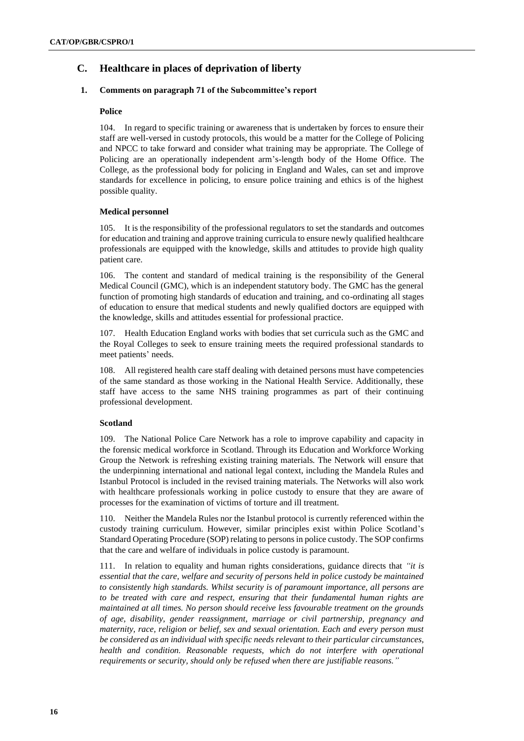# **C. Healthcare in places of deprivation of liberty**

# **1. Comments on paragraph 71 of the Subcommittee's report**

# **Police**

104. In regard to specific training or awareness that is undertaken by forces to ensure their staff are well-versed in custody protocols, this would be a matter for the College of Policing and NPCC to take forward and consider what training may be appropriate. The College of Policing are an operationally independent arm's-length body of the Home Office. The College, as the professional body for policing in England and Wales, can set and improve standards for excellence in policing, to ensure police training and ethics is of the highest possible quality.

# **Medical personnel**

105. It is the responsibility of the professional regulators to set the standards and outcomes for education and training and approve training curricula to ensure newly qualified healthcare professionals are equipped with the knowledge, skills and attitudes to provide high quality patient care.

106. The content and standard of medical training is the responsibility of the General Medical Council (GMC), which is an independent statutory body. The GMC has the general function of promoting high standards of education and training, and co-ordinating all stages of education to ensure that medical students and newly qualified doctors are equipped with the knowledge, skills and attitudes essential for professional practice.

107. Health Education England works with bodies that set curricula such as the GMC and the Royal Colleges to seek to ensure training meets the required professional standards to meet patients' needs.

108. All registered health care staff dealing with detained persons must have competencies of the same standard as those working in the National Health Service. Additionally, these staff have access to the same NHS training programmes as part of their continuing professional development.

# **Scotland**

109. The National Police Care Network has a role to improve capability and capacity in the forensic medical workforce in Scotland. Through its Education and Workforce Working Group the Network is refreshing existing training materials. The Network will ensure that the underpinning international and national legal context, including the Mandela Rules and Istanbul Protocol is included in the revised training materials. The Networks will also work with healthcare professionals working in police custody to ensure that they are aware of processes for the examination of victims of torture and ill treatment.

110. Neither the Mandela Rules nor the Istanbul protocol is currently referenced within the custody training curriculum. However, similar principles exist within Police Scotland's Standard Operating Procedure (SOP) relating to persons in police custody. The SOP confirms that the care and welfare of individuals in police custody is paramount.

111. In relation to equality and human rights considerations, guidance directs that *"it is essential that the care, welfare and security of persons held in police custody be maintained to consistently high standards. Whilst security is of paramount importance, all persons are to be treated with care and respect, ensuring that their fundamental human rights are maintained at all times. No person should receive less favourable treatment on the grounds of age, disability, gender reassignment, marriage or civil partnership, pregnancy and maternity, race, religion or belief, sex and sexual orientation. Each and every person must be considered as an individual with specific needs relevant to their particular circumstances, health and condition. Reasonable requests, which do not interfere with operational requirements or security, should only be refused when there are justifiable reasons."*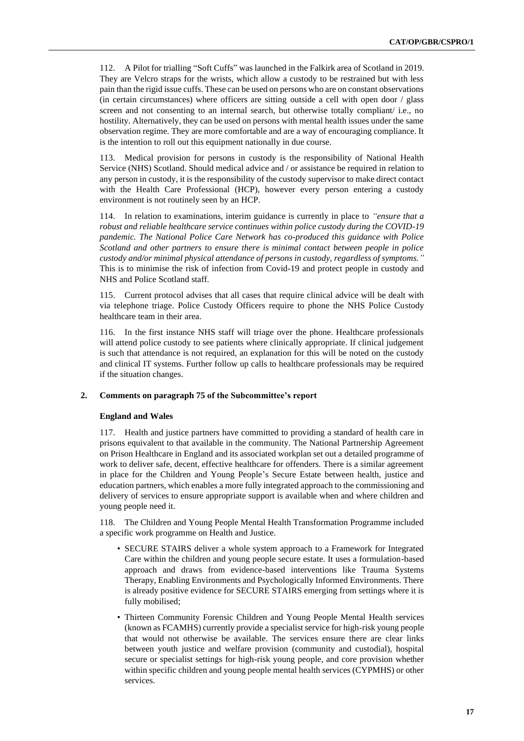112. A Pilot for trialling "Soft Cuffs" was launched in the Falkirk area of Scotland in 2019. They are Velcro straps for the wrists, which allow a custody to be restrained but with less pain than the rigid issue cuffs. These can be used on persons who are on constant observations (in certain circumstances) where officers are sitting outside a cell with open door / glass screen and not consenting to an internal search, but otherwise totally compliant/ i.e., no hostility. Alternatively, they can be used on persons with mental health issues under the same observation regime. They are more comfortable and are a way of encouraging compliance. It is the intention to roll out this equipment nationally in due course.

113. Medical provision for persons in custody is the responsibility of National Health Service (NHS) Scotland. Should medical advice and / or assistance be required in relation to any person in custody, it is the responsibility of the custody supervisor to make direct contact with the Health Care Professional (HCP), however every person entering a custody environment is not routinely seen by an HCP.

114. In relation to examinations, interim guidance is currently in place to *"ensure that a robust and reliable healthcare service continues within police custody during the COVID-19 pandemic. The National Police Care Network has co-produced this guidance with Police Scotland and other partners to ensure there is minimal contact between people in police custody and/or minimal physical attendance of persons in custody, regardless of symptoms."* This is to minimise the risk of infection from Covid-19 and protect people in custody and NHS and Police Scotland staff.

115. Current protocol advises that all cases that require clinical advice will be dealt with via telephone triage. Police Custody Officers require to phone the NHS Police Custody healthcare team in their area.

116. In the first instance NHS staff will triage over the phone. Healthcare professionals will attend police custody to see patients where clinically appropriate. If clinical judgement is such that attendance is not required, an explanation for this will be noted on the custody and clinical IT systems. Further follow up calls to healthcare professionals may be required if the situation changes.

#### **2. Comments on paragraph 75 of the Subcommittee's report**

#### **England and Wales**

117. Health and justice partners have committed to providing a standard of health care in prisons equivalent to that available in the community. The National Partnership Agreement on Prison Healthcare in England and its associated workplan set out a detailed programme of work to deliver safe, decent, effective healthcare for offenders. There is a similar agreement in place for the Children and Young People's Secure Estate between health, justice and education partners, which enables a more fully integrated approach to the commissioning and delivery of services to ensure appropriate support is available when and where children and young people need it.

118. The Children and Young People Mental Health Transformation Programme included a specific work programme on Health and Justice.

- SECURE STAIRS deliver a whole system approach to a Framework for Integrated Care within the children and young people secure estate. It uses a formulation-based approach and draws from evidence-based interventions like Trauma Systems Therapy, Enabling Environments and Psychologically Informed Environments. There is already positive evidence for SECURE STAIRS emerging from settings where it is fully mobilised;
- Thirteen Community Forensic Children and Young People Mental Health services (known as FCAMHS) currently provide a specialist service for high-risk young people that would not otherwise be available. The services ensure there are clear links between youth justice and welfare provision (community and custodial), hospital secure or specialist settings for high-risk young people, and core provision whether within specific children and young people mental health services (CYPMHS) or other services.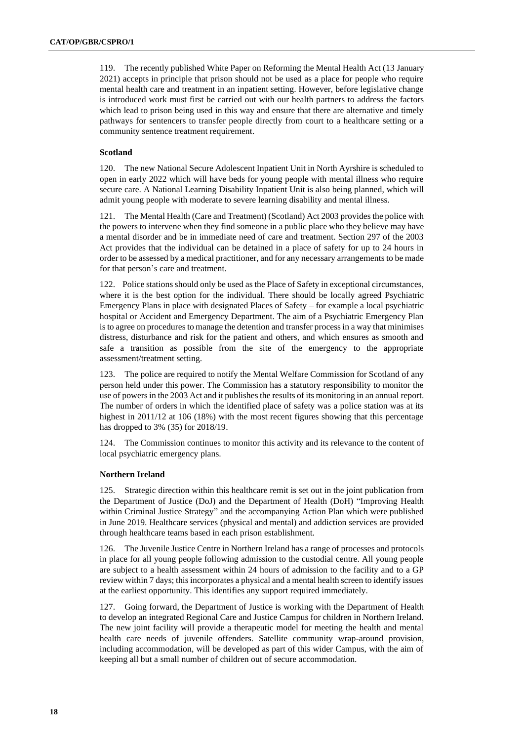119. The recently published White Paper on Reforming the Mental Health Act (13 January 2021) accepts in principle that prison should not be used as a place for people who require mental health care and treatment in an inpatient setting. However, before legislative change is introduced work must first be carried out with our health partners to address the factors which lead to prison being used in this way and ensure that there are alternative and timely pathways for sentencers to transfer people directly from court to a healthcare setting or a community sentence treatment requirement.

# **Scotland**

120. The new National Secure Adolescent Inpatient Unit in North Ayrshire is scheduled to open in early 2022 which will have beds for young people with mental illness who require secure care. A National Learning Disability Inpatient Unit is also being planned, which will admit young people with moderate to severe learning disability and mental illness.

121. The Mental Health (Care and Treatment) (Scotland) Act 2003 provides the police with the powers to intervene when they find someone in a public place who they believe may have a mental disorder and be in immediate need of care and treatment. Section 297 of the 2003 Act provides that the individual can be detained in a place of safety for up to 24 hours in order to be assessed by a medical practitioner, and for any necessary arrangements to be made for that person's care and treatment.

122. Police stations should only be used as the Place of Safety in exceptional circumstances, where it is the best option for the individual. There should be locally agreed Psychiatric Emergency Plans in place with designated Places of Safety – for example a local psychiatric hospital or Accident and Emergency Department. The aim of a Psychiatric Emergency Plan is to agree on procedures to manage the detention and transfer process in a way that minimises distress, disturbance and risk for the patient and others, and which ensures as smooth and safe a transition as possible from the site of the emergency to the appropriate assessment/treatment setting.

123. The police are required to notify the Mental Welfare Commission for Scotland of any person held under this power. The Commission has a statutory responsibility to monitor the use of powers in the 2003 Act and it publishes the results of its monitoring in an annual report. The number of orders in which the identified place of safety was a police station was at its highest in 2011/12 at 106 (18%) with the most recent figures showing that this percentage has dropped to 3% (35) for 2018/19.

124. The Commission continues to monitor this activity and its relevance to the content of local psychiatric emergency plans.

#### **Northern Ireland**

125. Strategic direction within this healthcare remit is set out in the joint publication from the Department of Justice (DoJ) and the Department of Health (DoH) "Improving Health within Criminal Justice Strategy" and the accompanying Action Plan which were published in June 2019. Healthcare services (physical and mental) and addiction services are provided through healthcare teams based in each prison establishment.

126. The Juvenile Justice Centre in Northern Ireland has a range of processes and protocols in place for all young people following admission to the custodial centre. All young people are subject to a health assessment within 24 hours of admission to the facility and to a GP review within 7 days; this incorporates a physical and a mental health screen to identify issues at the earliest opportunity. This identifies any support required immediately.

127. Going forward, the Department of Justice is working with the Department of Health to develop an integrated Regional Care and Justice Campus for children in Northern Ireland. The new joint facility will provide a therapeutic model for meeting the health and mental health care needs of juvenile offenders. Satellite community wrap-around provision, including accommodation, will be developed as part of this wider Campus, with the aim of keeping all but a small number of children out of secure accommodation.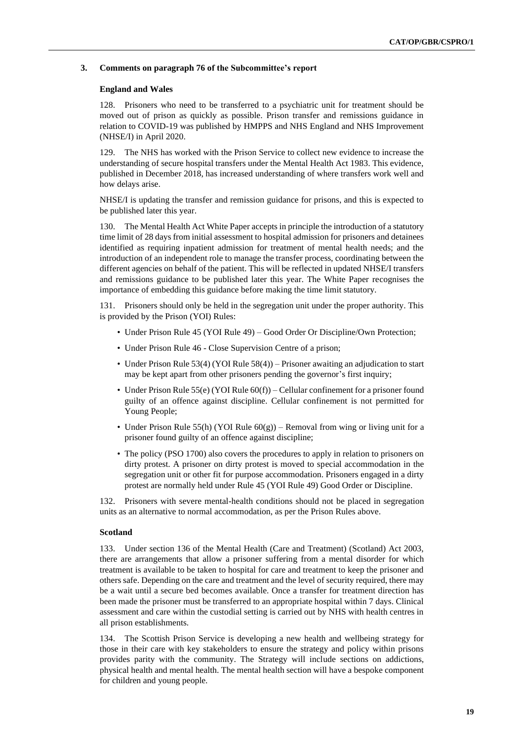#### **3. Comments on paragraph 76 of the Subcommittee's report**

#### **England and Wales**

128. Prisoners who need to be transferred to a psychiatric unit for treatment should be moved out of prison as quickly as possible. Prison transfer and remissions guidance in relation to COVID-19 was published by HMPPS and NHS England and NHS Improvement (NHSE/I) in April 2020.

129. The NHS has worked with the Prison Service to collect new evidence to increase the understanding of secure hospital transfers under the Mental Health Act 1983. This evidence, published in December 2018, has increased understanding of where transfers work well and how delays arise.

NHSE/I is updating the transfer and remission guidance for prisons, and this is expected to be published later this year.

The Mental Health Act White Paper accepts in principle the introduction of a statutory time limit of 28 days from initial assessment to hospital admission for prisoners and detainees identified as requiring inpatient admission for treatment of mental health needs; and the introduction of an independent role to manage the transfer process, coordinating between the different agencies on behalf of the patient. This will be reflected in updated NHSE/I transfers and remissions guidance to be published later this year. The White Paper recognises the importance of embedding this guidance before making the time limit statutory.

131. Prisoners should only be held in the segregation unit under the proper authority. This is provided by the Prison (YOI) Rules:

- Under Prison Rule 45 (YOI Rule 49) Good Order Or Discipline/Own Protection;
- Under Prison Rule 46 Close Supervision Centre of a prison;
- Under Prison Rule 53(4) (YOI Rule 58(4)) Prisoner awaiting an adjudication to start may be kept apart from other prisoners pending the governor's first inquiry;
- Under Prison Rule 55(e) (YOI Rule  $60(f)$ ) Cellular confinement for a prisoner found guilty of an offence against discipline. Cellular confinement is not permitted for Young People;
- Under Prison Rule 55(h) (YOI Rule  $60(g)$ ) Removal from wing or living unit for a prisoner found guilty of an offence against discipline;
- The policy (PSO 1700) also covers the procedures to apply in relation to prisoners on dirty protest. A prisoner on dirty protest is moved to special accommodation in the segregation unit or other fit for purpose accommodation. Prisoners engaged in a dirty protest are normally held under Rule 45 (YOI Rule 49) Good Order or Discipline.

132. Prisoners with severe mental-health conditions should not be placed in segregation units as an alternative to normal accommodation, as per the Prison Rules above.

#### **Scotland**

133. Under section 136 of the Mental Health (Care and Treatment) (Scotland) Act 2003, there are arrangements that allow a prisoner suffering from a mental disorder for which treatment is available to be taken to hospital for care and treatment to keep the prisoner and others safe. Depending on the care and treatment and the level of security required, there may be a wait until a secure bed becomes available. Once a transfer for treatment direction has been made the prisoner must be transferred to an appropriate hospital within 7 days. Clinical assessment and care within the custodial setting is carried out by NHS with health centres in all prison establishments.

134. The Scottish Prison Service is developing a new health and wellbeing strategy for those in their care with key stakeholders to ensure the strategy and policy within prisons provides parity with the community. The Strategy will include sections on addictions, physical health and mental health. The mental health section will have a bespoke component for children and young people.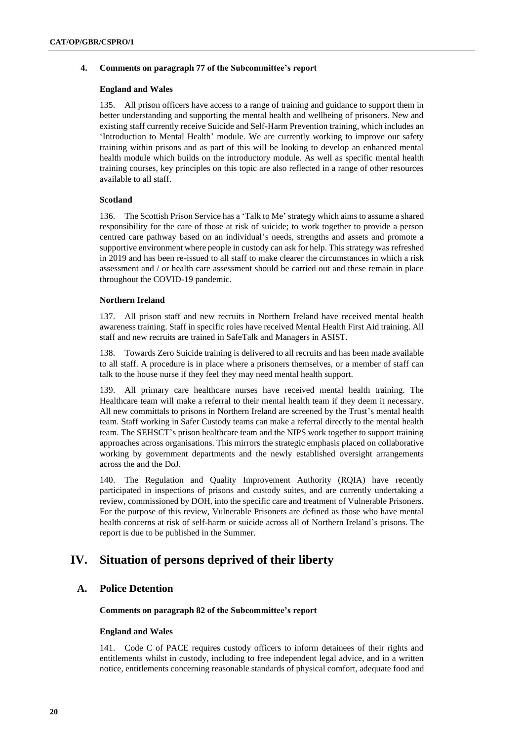#### **4. Comments on paragraph 77 of the Subcommittee's report**

#### **England and Wales**

135. All prison officers have access to a range of training and guidance to support them in better understanding and supporting the mental health and wellbeing of prisoners. New and existing staff currently receive Suicide and Self-Harm Prevention training, which includes an 'Introduction to Mental Health' module. We are currently working to improve our safety training within prisons and as part of this will be looking to develop an enhanced mental health module which builds on the introductory module. As well as specific mental health training courses, key principles on this topic are also reflected in a range of other resources available to all staff.

#### **Scotland**

136. The Scottish Prison Service has a 'Talk to Me' strategy which aims to assume a shared responsibility for the care of those at risk of suicide; to work together to provide a person centred care pathway based on an individual's needs, strengths and assets and promote a supportive environment where people in custody can ask for help. This strategy was refreshed in 2019 and has been re-issued to all staff to make clearer the circumstances in which a risk assessment and / or health care assessment should be carried out and these remain in place throughout the COVID-19 pandemic.

#### **Northern Ireland**

137. All prison staff and new recruits in Northern Ireland have received mental health awareness training. Staff in specific roles have received Mental Health First Aid training. All staff and new recruits are trained in SafeTalk and Managers in ASIST.

138. Towards Zero Suicide training is delivered to all recruits and has been made available to all staff. A procedure is in place where a prisoners themselves, or a member of staff can talk to the house nurse if they feel they may need mental health support.

139. All primary care healthcare nurses have received mental health training. The Healthcare team will make a referral to their mental health team if they deem it necessary. All new committals to prisons in Northern Ireland are screened by the Trust's mental health team. Staff working in Safer Custody teams can make a referral directly to the mental health team. The SEHSCT's prison healthcare team and the NIPS work together to support training approaches across organisations. This mirrors the strategic emphasis placed on collaborative working by government departments and the newly established oversight arrangements across the and the DoJ.

140. The Regulation and Quality Improvement Authority (RQIA) have recently participated in inspections of prisons and custody suites, and are currently undertaking a review, commissioned by DOH, into the specific care and treatment of Vulnerable Prisoners. For the purpose of this review, Vulnerable Prisoners are defined as those who have mental health concerns at risk of self-harm or suicide across all of Northern Ireland's prisons. The report is due to be published in the Summer.

# **IV. Situation of persons deprived of their liberty**

# **A. Police Detention**

**Comments on paragraph 82 of the Subcommittee's report**

#### **England and Wales**

141. Code C of PACE requires custody officers to inform detainees of their rights and entitlements whilst in custody, including to free independent legal advice, and in a written notice, entitlements concerning reasonable standards of physical comfort, adequate food and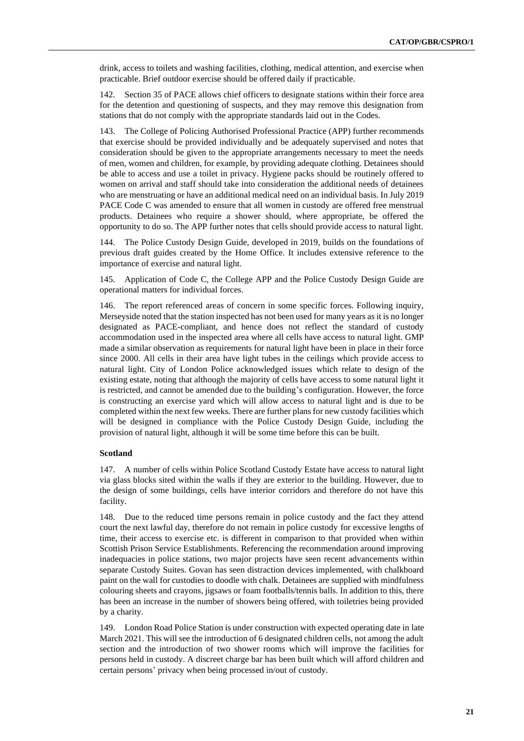drink, access to toilets and washing facilities, clothing, medical attention, and exercise when practicable. Brief outdoor exercise should be offered daily if practicable.

142. Section 35 of PACE allows chief officers to designate stations within their force area for the detention and questioning of suspects, and they may remove this designation from stations that do not comply with the appropriate standards laid out in the Codes.

143. The College of Policing Authorised Professional Practice (APP) further recommends that exercise should be provided individually and be adequately supervised and notes that consideration should be given to the appropriate arrangements necessary to meet the needs of men, women and children, for example, by providing adequate clothing. Detainees should be able to access and use a toilet in privacy. Hygiene packs should be routinely offered to women on arrival and staff should take into consideration the additional needs of detainees who are menstruating or have an additional medical need on an individual basis. In July 2019 PACE Code C was amended to ensure that all women in custody are offered free menstrual products. Detainees who require a shower should, where appropriate, be offered the opportunity to do so. The APP further notes that cells should provide access to natural light.

144. The Police Custody Design Guide, developed in 2019, builds on the foundations of previous draft guides created by the Home Office. It includes extensive reference to the importance of exercise and natural light.

145. Application of Code C, the College APP and the Police Custody Design Guide are operational matters for individual forces.

146. The report referenced areas of concern in some specific forces. Following inquiry, Merseyside noted that the station inspected has not been used for many years as it is no longer designated as PACE-compliant, and hence does not reflect the standard of custody accommodation used in the inspected area where all cells have access to natural light. GMP made a similar observation as requirements for natural light have been in place in their force since 2000. All cells in their area have light tubes in the ceilings which provide access to natural light. City of London Police acknowledged issues which relate to design of the existing estate, noting that although the majority of cells have access to some natural light it is restricted, and cannot be amended due to the building's configuration. However, the force is constructing an exercise yard which will allow access to natural light and is due to be completed within the next few weeks. There are further plans for new custody facilities which will be designed in compliance with the Police Custody Design Guide, including the provision of natural light, although it will be some time before this can be built.

#### **Scotland**

147. A number of cells within Police Scotland Custody Estate have access to natural light via glass blocks sited within the walls if they are exterior to the building. However, due to the design of some buildings, cells have interior corridors and therefore do not have this facility.

148. Due to the reduced time persons remain in police custody and the fact they attend court the next lawful day, therefore do not remain in police custody for excessive lengths of time, their access to exercise etc. is different in comparison to that provided when within Scottish Prison Service Establishments. Referencing the recommendation around improving inadequacies in police stations, two major projects have seen recent advancements within separate Custody Suites. Govan has seen distraction devices implemented, with chalkboard paint on the wall for custodies to doodle with chalk. Detainees are supplied with mindfulness colouring sheets and crayons, jigsaws or foam footballs/tennis balls. In addition to this, there has been an increase in the number of showers being offered, with toiletries being provided by a charity.

149. London Road Police Station is under construction with expected operating date in late March 2021. This will see the introduction of 6 designated children cells, not among the adult section and the introduction of two shower rooms which will improve the facilities for persons held in custody. A discreet charge bar has been built which will afford children and certain persons' privacy when being processed in/out of custody.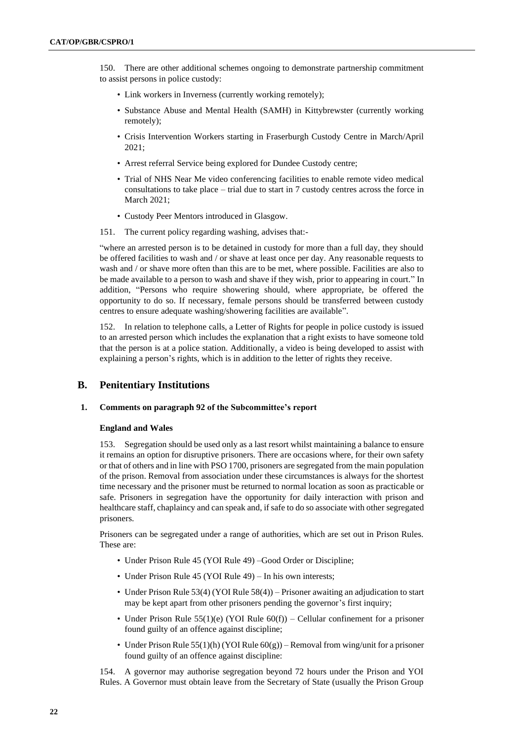150. There are other additional schemes ongoing to demonstrate partnership commitment to assist persons in police custody:

- Link workers in Inverness (currently working remotely);
- Substance Abuse and Mental Health (SAMH) in Kittybrewster (currently working remotely);
- Crisis Intervention Workers starting in Fraserburgh Custody Centre in March/April 2021;
- Arrest referral Service being explored for Dundee Custody centre;
- Trial of NHS Near Me video conferencing facilities to enable remote video medical consultations to take place – trial due to start in 7 custody centres across the force in March 2021;
- Custody Peer Mentors introduced in Glasgow.
- 151. The current policy regarding washing, advises that:-

"where an arrested person is to be detained in custody for more than a full day, they should be offered facilities to wash and / or shave at least once per day. Any reasonable requests to wash and / or shave more often than this are to be met, where possible. Facilities are also to be made available to a person to wash and shave if they wish, prior to appearing in court." In addition, "Persons who require showering should, where appropriate, be offered the opportunity to do so. If necessary, female persons should be transferred between custody centres to ensure adequate washing/showering facilities are available".

152. In relation to telephone calls, a Letter of Rights for people in police custody is issued to an arrested person which includes the explanation that a right exists to have someone told that the person is at a police station. Additionally, a video is being developed to assist with explaining a person's rights, which is in addition to the letter of rights they receive.

# **B. Penitentiary Institutions**

#### **1. Comments on paragraph 92 of the Subcommittee's report**

#### **England and Wales**

153. Segregation should be used only as a last resort whilst maintaining a balance to ensure it remains an option for disruptive prisoners. There are occasions where, for their own safety or that of others and in line with PSO 1700, prisoners are segregated from the main population of the prison. Removal from association under these circumstances is always for the shortest time necessary and the prisoner must be returned to normal location as soon as practicable or safe. Prisoners in segregation have the opportunity for daily interaction with prison and healthcare staff, chaplaincy and can speak and, if safe to do so associate with other segregated prisoners.

Prisoners can be segregated under a range of authorities, which are set out in Prison Rules. These are:

- Under Prison Rule 45 (YOI Rule 49) –Good Order or Discipline;
- Under Prison Rule 45 (YOI Rule 49) In his own interests;
- Under Prison Rule 53(4) (YOI Rule 58(4)) Prisoner awaiting an adjudication to start may be kept apart from other prisoners pending the governor's first inquiry;
- Under Prison Rule  $55(1)(e)$  (YOI Rule  $60(f)$ ) Cellular confinement for a prisoner found guilty of an offence against discipline;
- Under Prison Rule 55(1)(h) (YOI Rule  $60(g)$ ) Removal from wing/unit for a prisoner found guilty of an offence against discipline:

154. A governor may authorise segregation beyond 72 hours under the Prison and YOI Rules. A Governor must obtain leave from the Secretary of State (usually the Prison Group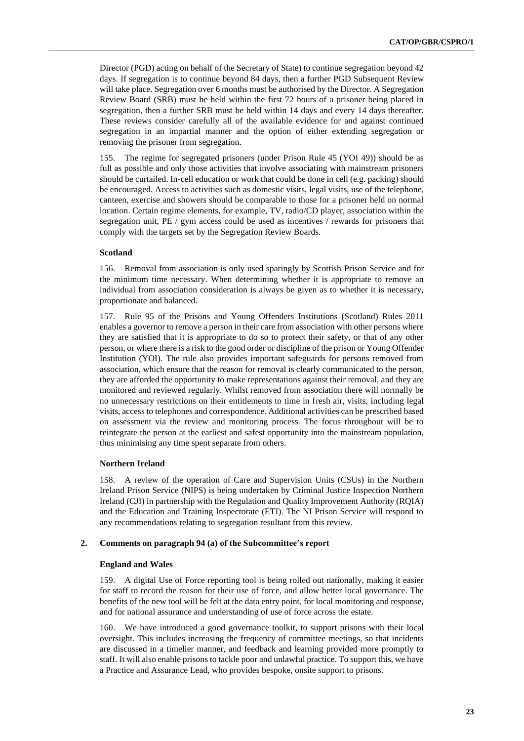Director (PGD) acting on behalf of the Secretary of State) to continue segregation beyond 42 days. If segregation is to continue beyond 84 days, then a further PGD Subsequent Review will take place. Segregation over 6 months must be authorised by the Director. A Segregation Review Board (SRB) must be held within the first 72 hours of a prisoner being placed in segregation, then a further SRB must be held within 14 days and every 14 days thereafter. These reviews consider carefully all of the available evidence for and against continued segregation in an impartial manner and the option of either extending segregation or removing the prisoner from segregation.

155. The regime for segregated prisoners (under Prison Rule 45 (YOI 49)) should be as full as possible and only those activities that involve associating with mainstream prisoners should be curtailed. In-cell education or work that could be done in cell (e.g. packing) should be encouraged. Access to activities such as domestic visits, legal visits, use of the telephone, canteen, exercise and showers should be comparable to those for a prisoner held on normal location. Certain regime elements, for example, TV, radio/CD player, association within the segregation unit, PE / gym access could be used as incentives / rewards for prisoners that comply with the targets set by the Segregation Review Boards.

#### **Scotland**

156. Removal from association is only used sparingly by Scottish Prison Service and for the minimum time necessary. When determining whether it is appropriate to remove an individual from association consideration is always be given as to whether it is necessary, proportionate and balanced.

157. Rule 95 of the Prisons and Young Offenders Institutions (Scotland) Rules 2011 enables a governor to remove a person in their care from association with other persons where they are satisfied that it is appropriate to do so to protect their safety, or that of any other person, or where there is a risk to the good order or discipline of the prison or Young Offender Institution (YOI). The rule also provides important safeguards for persons removed from association, which ensure that the reason for removal is clearly communicated to the person, they are afforded the opportunity to make representations against their removal, and they are monitored and reviewed regularly. Whilst removed from association there will normally be no unnecessary restrictions on their entitlements to time in fresh air, visits, including legal visits, access to telephones and correspondence. Additional activities can be prescribed based on assessment via the review and monitoring process. The focus throughout will be to reintegrate the person at the earliest and safest opportunity into the mainstream population, thus minimising any time spent separate from others.

#### **Northern Ireland**

158. A review of the operation of Care and Supervision Units (CSUs) in the Northern Ireland Prison Service (NIPS) is being undertaken by Criminal Justice Inspection Northern Ireland (CJI) in partnership with the Regulation and Quality Improvement Authority (RQIA) and the Education and Training Inspectorate (ETI). The NI Prison Service will respond to any recommendations relating to segregation resultant from this review.

# **2. Comments on paragraph 94 (a) of the Subcommittee's report**

#### **England and Wales**

159. A digital Use of Force reporting tool is being rolled out nationally, making it easier for staff to record the reason for their use of force, and allow better local governance. The benefits of the new tool will be felt at the data entry point, for local monitoring and response, and for national assurance and understanding of use of force across the estate.

160. We have introduced a good governance toolkit, to support prisons with their local oversight. This includes increasing the frequency of committee meetings, so that incidents are discussed in a timelier manner, and feedback and learning provided more promptly to staff. It will also enable prisons to tackle poor and unlawful practice. To support this, we have a Practice and Assurance Lead, who provides bespoke, onsite support to prisons.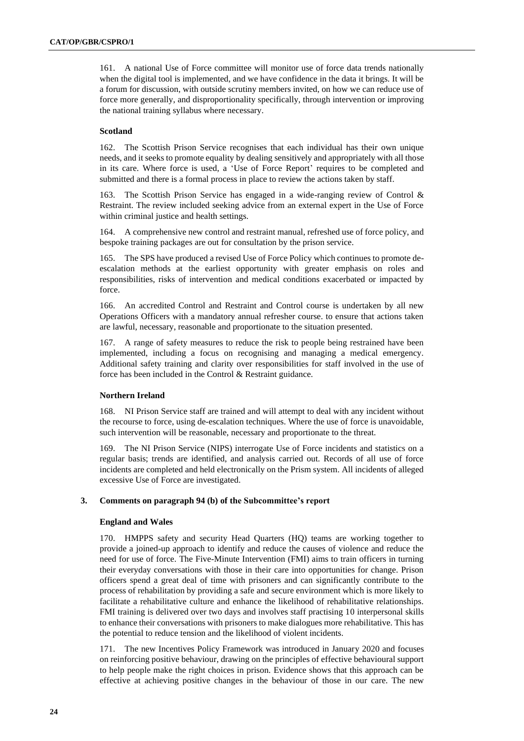161. A national Use of Force committee will monitor use of force data trends nationally when the digital tool is implemented, and we have confidence in the data it brings. It will be a forum for discussion, with outside scrutiny members invited, on how we can reduce use of force more generally, and disproportionality specifically, through intervention or improving the national training syllabus where necessary.

## **Scotland**

162. The Scottish Prison Service recognises that each individual has their own unique needs, and it seeks to promote equality by dealing sensitively and appropriately with all those in its care. Where force is used, a 'Use of Force Report' requires to be completed and submitted and there is a formal process in place to review the actions taken by staff.

163. The Scottish Prison Service has engaged in a wide-ranging review of Control & Restraint. The review included seeking advice from an external expert in the Use of Force within criminal justice and health settings.

164. A comprehensive new control and restraint manual, refreshed use of force policy, and bespoke training packages are out for consultation by the prison service.

165. The SPS have produced a revised Use of Force Policy which continues to promote deescalation methods at the earliest opportunity with greater emphasis on roles and responsibilities, risks of intervention and medical conditions exacerbated or impacted by force.

166. An accredited Control and Restraint and Control course is undertaken by all new Operations Officers with a mandatory annual refresher course. to ensure that actions taken are lawful, necessary, reasonable and proportionate to the situation presented.

167. A range of safety measures to reduce the risk to people being restrained have been implemented, including a focus on recognising and managing a medical emergency. Additional safety training and clarity over responsibilities for staff involved in the use of force has been included in the Control & Restraint guidance.

### **Northern Ireland**

168. NI Prison Service staff are trained and will attempt to deal with any incident without the recourse to force, using de-escalation techniques. Where the use of force is unavoidable, such intervention will be reasonable, necessary and proportionate to the threat.

169. The NI Prison Service (NIPS) interrogate Use of Force incidents and statistics on a regular basis; trends are identified, and analysis carried out. Records of all use of force incidents are completed and held electronically on the Prism system. All incidents of alleged excessive Use of Force are investigated.

#### **3. Comments on paragraph 94 (b) of the Subcommittee's report**

#### **England and Wales**

170. HMPPS safety and security Head Quarters (HQ) teams are working together to provide a joined-up approach to identify and reduce the causes of violence and reduce the need for use of force. The Five-Minute Intervention (FMI) aims to train officers in turning their everyday conversations with those in their care into opportunities for change. Prison officers spend a great deal of time with prisoners and can significantly contribute to the process of rehabilitation by providing a safe and secure environment which is more likely to facilitate a rehabilitative culture and enhance the likelihood of rehabilitative relationships. FMI training is delivered over two days and involves staff practising 10 interpersonal skills to enhance their conversations with prisoners to make dialogues more rehabilitative. This has the potential to reduce tension and the likelihood of violent incidents.

171. The new Incentives Policy Framework was introduced in January 2020 and focuses on reinforcing positive behaviour, drawing on the principles of effective behavioural support to help people make the right choices in prison. Evidence shows that this approach can be effective at achieving positive changes in the behaviour of those in our care. The new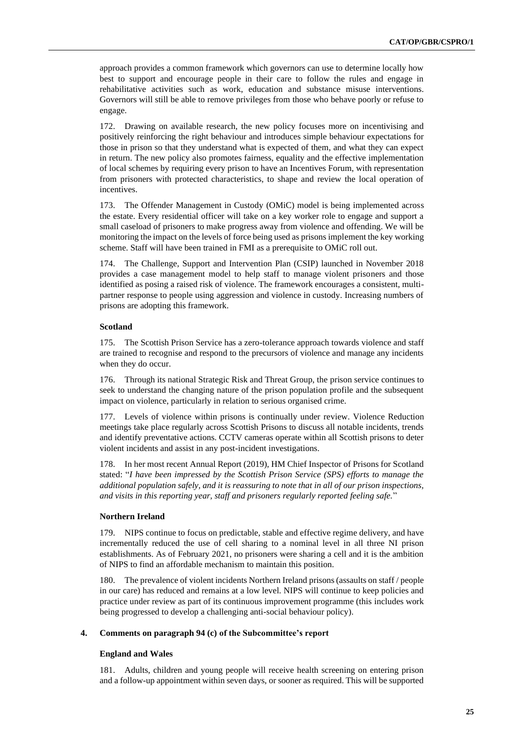approach provides a common framework which governors can use to determine locally how best to support and encourage people in their care to follow the rules and engage in rehabilitative activities such as work, education and substance misuse interventions. Governors will still be able to remove privileges from those who behave poorly or refuse to engage.

172. Drawing on available research, the new policy focuses more on incentivising and positively reinforcing the right behaviour and introduces simple behaviour expectations for those in prison so that they understand what is expected of them, and what they can expect in return. The new policy also promotes fairness, equality and the effective implementation of local schemes by requiring every prison to have an Incentives Forum, with representation from prisoners with protected characteristics, to shape and review the local operation of incentives.

173. The Offender Management in Custody (OMiC) model is being implemented across the estate. Every residential officer will take on a key worker role to engage and support a small caseload of prisoners to make progress away from violence and offending. We will be monitoring the impact on the levels of force being used as prisons implement the key working scheme. Staff will have been trained in FMI as a prerequisite to OMiC roll out.

174. The Challenge, Support and Intervention Plan (CSIP) launched in November 2018 provides a case management model to help staff to manage violent prisoners and those identified as posing a raised risk of violence. The framework encourages a consistent, multipartner response to people using aggression and violence in custody. Increasing numbers of prisons are adopting this framework.

# **Scotland**

175. The Scottish Prison Service has a zero-tolerance approach towards violence and staff are trained to recognise and respond to the precursors of violence and manage any incidents when they do occur.

176. Through its national Strategic Risk and Threat Group, the prison service continues to seek to understand the changing nature of the prison population profile and the subsequent impact on violence, particularly in relation to serious organised crime.

177. Levels of violence within prisons is continually under review. Violence Reduction meetings take place regularly across Scottish Prisons to discuss all notable incidents, trends and identify preventative actions. CCTV cameras operate within all Scottish prisons to deter violent incidents and assist in any post-incident investigations.

178. In her most recent Annual Report (2019), HM Chief Inspector of Prisons for Scotland stated: "*I have been impressed by the Scottish Prison Service (SPS) efforts to manage the additional population safely, and it is reassuring to note that in all of our prison inspections, and visits in this reporting year, staff and prisoners regularly reported feeling safe.*"

# **Northern Ireland**

179. NIPS continue to focus on predictable, stable and effective regime delivery, and have incrementally reduced the use of cell sharing to a nominal level in all three NI prison establishments. As of February 2021, no prisoners were sharing a cell and it is the ambition of NIPS to find an affordable mechanism to maintain this position.

180. The prevalence of violent incidents Northern Ireland prisons (assaults on staff / people in our care) has reduced and remains at a low level. NIPS will continue to keep policies and practice under review as part of its continuous improvement programme (this includes work being progressed to develop a challenging anti-social behaviour policy).

#### **4. Comments on paragraph 94 (c) of the Subcommittee's report**

#### **England and Wales**

181. Adults, children and young people will receive health screening on entering prison and a follow-up appointment within seven days, or sooner as required. This will be supported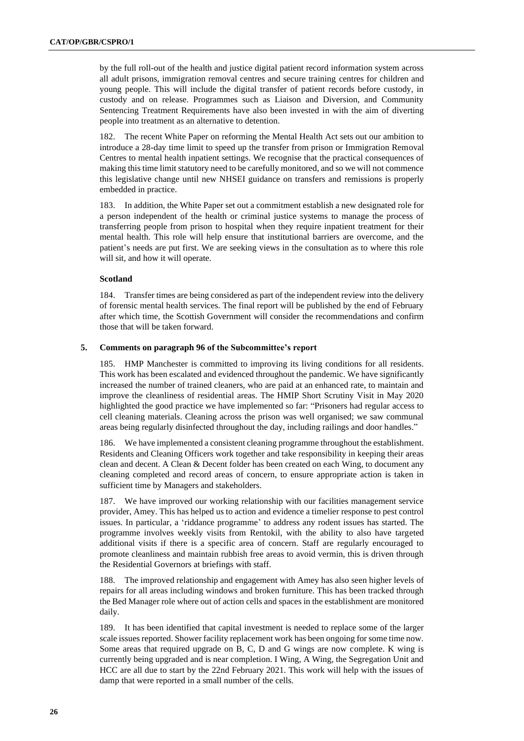by the full roll-out of the health and justice digital patient record information system across all adult prisons, immigration removal centres and secure training centres for children and young people. This will include the digital transfer of patient records before custody, in custody and on release. Programmes such as Liaison and Diversion, and Community Sentencing Treatment Requirements have also been invested in with the aim of diverting people into treatment as an alternative to detention.

182. The recent White Paper on reforming the Mental Health Act sets out our ambition to introduce a 28-day time limit to speed up the transfer from prison or Immigration Removal Centres to mental health inpatient settings. We recognise that the practical consequences of making this time limit statutory need to be carefully monitored, and so we will not commence this legislative change until new NHSEI guidance on transfers and remissions is properly embedded in practice.

183. In addition, the White Paper set out a commitment establish a new designated role for a person independent of the health or criminal justice systems to manage the process of transferring people from prison to hospital when they require inpatient treatment for their mental health. This role will help ensure that institutional barriers are overcome, and the patient's needs are put first. We are seeking views in the consultation as to where this role will sit, and how it will operate.

#### **Scotland**

184. Transfer times are being considered as part of the independent review into the delivery of forensic mental health services. The final report will be published by the end of February after which time, the Scottish Government will consider the recommendations and confirm those that will be taken forward.

#### **5. Comments on paragraph 96 of the Subcommittee's report**

185. HMP Manchester is committed to improving its living conditions for all residents. This work has been escalated and evidenced throughout the pandemic. We have significantly increased the number of trained cleaners, who are paid at an enhanced rate, to maintain and improve the cleanliness of residential areas. The HMIP Short Scrutiny Visit in May 2020 highlighted the good practice we have implemented so far: "Prisoners had regular access to cell cleaning materials. Cleaning across the prison was well organised; we saw communal areas being regularly disinfected throughout the day, including railings and door handles."

186. We have implemented a consistent cleaning programme throughout the establishment. Residents and Cleaning Officers work together and take responsibility in keeping their areas clean and decent. A Clean & Decent folder has been created on each Wing, to document any cleaning completed and record areas of concern, to ensure appropriate action is taken in sufficient time by Managers and stakeholders.

187. We have improved our working relationship with our facilities management service provider, Amey. This has helped us to action and evidence a timelier response to pest control issues. In particular, a 'riddance programme' to address any rodent issues has started. The programme involves weekly visits from Rentokil, with the ability to also have targeted additional visits if there is a specific area of concern. Staff are regularly encouraged to promote cleanliness and maintain rubbish free areas to avoid vermin, this is driven through the Residential Governors at briefings with staff.

188. The improved relationship and engagement with Amey has also seen higher levels of repairs for all areas including windows and broken furniture. This has been tracked through the Bed Manager role where out of action cells and spaces in the establishment are monitored daily.

189. It has been identified that capital investment is needed to replace some of the larger scale issues reported. Shower facility replacement work has been ongoing for some time now. Some areas that required upgrade on B, C, D and G wings are now complete. K wing is currently being upgraded and is near completion. I Wing, A Wing, the Segregation Unit and HCC are all due to start by the 22nd February 2021. This work will help with the issues of damp that were reported in a small number of the cells.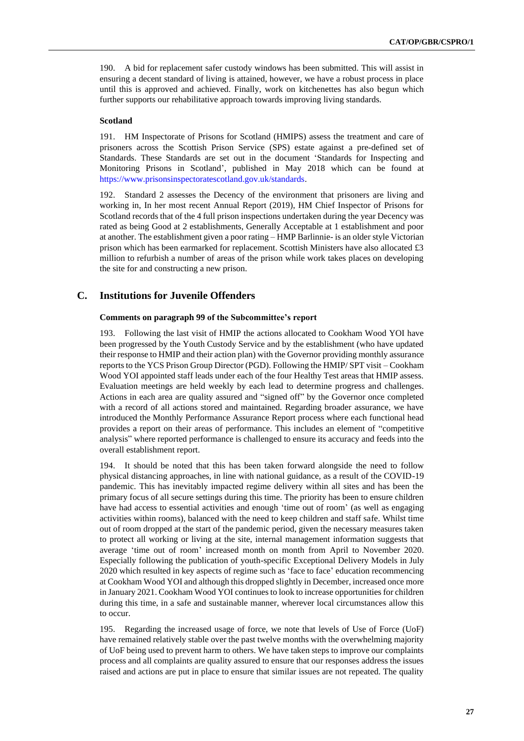190. A bid for replacement safer custody windows has been submitted. This will assist in ensuring a decent standard of living is attained, however, we have a robust process in place until this is approved and achieved. Finally, work on kitchenettes has also begun which further supports our rehabilitative approach towards improving living standards.

#### **Scotland**

191. HM Inspectorate of Prisons for Scotland (HMIPS) assess the treatment and care of prisoners across the Scottish Prison Service (SPS) estate against a pre-defined set of Standards. These Standards are set out in the document 'Standards for Inspecting and Monitoring Prisons in Scotland', published in May 2018 which can be found at [https://www.prisonsinspectoratescotland.gov.uk/standards.](https://www.prisonsinspectoratescotland.gov.uk/standards)

192. Standard 2 assesses the Decency of the environment that prisoners are living and working in, In her most recent Annual Report (2019), HM Chief Inspector of Prisons for Scotland records that of the 4 full prison inspections undertaken during the year Decency was rated as being Good at 2 establishments, Generally Acceptable at 1 establishment and poor at another. The establishment given a poor rating – HMP Barlinnie- is an older style Victorian prison which has been earmarked for replacement. Scottish Ministers have also allocated £3 million to refurbish a number of areas of the prison while work takes places on developing the site for and constructing a new prison.

# **C. Institutions for Juvenile Offenders**

### **Comments on paragraph 99 of the Subcommittee's report**

193. Following the last visit of HMIP the actions allocated to Cookham Wood YOI have been progressed by the Youth Custody Service and by the establishment (who have updated their response to HMIP and their action plan) with the Governor providing monthly assurance reports to the YCS Prison Group Director (PGD). Following the HMIP/ SPT visit – Cookham Wood YOI appointed staff leads under each of the four Healthy Test areas that HMIP assess. Evaluation meetings are held weekly by each lead to determine progress and challenges. Actions in each area are quality assured and "signed off" by the Governor once completed with a record of all actions stored and maintained. Regarding broader assurance, we have introduced the Monthly Performance Assurance Report process where each functional head provides a report on their areas of performance. This includes an element of "competitive analysis" where reported performance is challenged to ensure its accuracy and feeds into the overall establishment report.

194. It should be noted that this has been taken forward alongside the need to follow physical distancing approaches, in line with national guidance, as a result of the COVID-19 pandemic. This has inevitably impacted regime delivery within all sites and has been the primary focus of all secure settings during this time. The priority has been to ensure children have had access to essential activities and enough 'time out of room' (as well as engaging activities within rooms), balanced with the need to keep children and staff safe. Whilst time out of room dropped at the start of the pandemic period, given the necessary measures taken to protect all working or living at the site, internal management information suggests that average 'time out of room' increased month on month from April to November 2020. Especially following the publication of youth-specific Exceptional Delivery Models in July 2020 which resulted in key aspects of regime such as 'face to face' education recommencing at Cookham Wood YOI and although this dropped slightly in December, increased once more in January 2021. Cookham Wood YOI continues to look to increase opportunities for children during this time, in a safe and sustainable manner, wherever local circumstances allow this to occur.

195. Regarding the increased usage of force, we note that levels of Use of Force (UoF) have remained relatively stable over the past twelve months with the overwhelming majority of UoF being used to prevent harm to others. We have taken steps to improve our complaints process and all complaints are quality assured to ensure that our responses address the issues raised and actions are put in place to ensure that similar issues are not repeated. The quality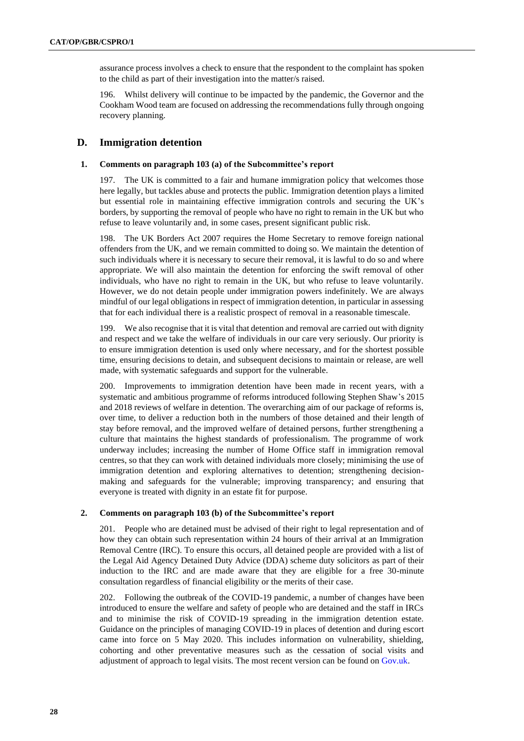assurance process involves a check to ensure that the respondent to the complaint has spoken to the child as part of their investigation into the matter/s raised.

196. Whilst delivery will continue to be impacted by the pandemic, the Governor and the Cookham Wood team are focused on addressing the recommendations fully through ongoing recovery planning.

# **D. Immigration detention**

#### **1. Comments on paragraph 103 (a) of the Subcommittee's report**

197. The UK is committed to a fair and humane immigration policy that welcomes those here legally, but tackles abuse and protects the public. Immigration detention plays a limited but essential role in maintaining effective immigration controls and securing the UK's borders, by supporting the removal of people who have no right to remain in the UK but who refuse to leave voluntarily and, in some cases, present significant public risk.

198. The UK Borders Act 2007 requires the Home Secretary to remove foreign national offenders from the UK, and we remain committed to doing so. We maintain the detention of such individuals where it is necessary to secure their removal, it is lawful to do so and where appropriate. We will also maintain the detention for enforcing the swift removal of other individuals, who have no right to remain in the UK, but who refuse to leave voluntarily. However, we do not detain people under immigration powers indefinitely. We are always mindful of our legal obligations in respect of immigration detention, in particular in assessing that for each individual there is a realistic prospect of removal in a reasonable timescale.

199. We also recognise that it is vital that detention and removal are carried out with dignity and respect and we take the welfare of individuals in our care very seriously. Our priority is to ensure immigration detention is used only where necessary, and for the shortest possible time, ensuring decisions to detain, and subsequent decisions to maintain or release, are well made, with systematic safeguards and support for the vulnerable.

200. Improvements to immigration detention have been made in recent years, with a systematic and ambitious programme of reforms introduced following Stephen Shaw's 2015 and 2018 reviews of welfare in detention. The overarching aim of our package of reforms is, over time, to deliver a reduction both in the numbers of those detained and their length of stay before removal, and the improved welfare of detained persons, further strengthening a culture that maintains the highest standards of professionalism. The programme of work underway includes; increasing the number of Home Office staff in immigration removal centres, so that they can work with detained individuals more closely; minimising the use of immigration detention and exploring alternatives to detention; strengthening decisionmaking and safeguards for the vulnerable; improving transparency; and ensuring that everyone is treated with dignity in an estate fit for purpose.

#### **2. Comments on paragraph 103 (b) of the Subcommittee's report**

201. People who are detained must be advised of their right to legal representation and of how they can obtain such representation within 24 hours of their arrival at an Immigration Removal Centre (IRC). To ensure this occurs, all detained people are provided with a list of the Legal Aid Agency Detained Duty Advice (DDA) scheme duty solicitors as part of their induction to the IRC and are made aware that they are eligible for a free 30-minute consultation regardless of financial eligibility or the merits of their case.

202. Following the outbreak of the COVID-19 pandemic, a number of changes have been introduced to ensure the welfare and safety of people who are detained and the staff in IRCs and to minimise the risk of COVID-19 spreading in the immigration detention estate. Guidance on the principles of managing COVID-19 in places of detention and during escort came into force on 5 May 2020. This includes information on vulnerability, shielding, cohorting and other preventative measures such as the cessation of social visits and adjustment of approach to legal visits. The most recent version can be found o[n Gov.uk.](https://gbr01.safelinks.protection.outlook.com/?url=https%3A%2F%2Fwww.gov.uk%2Fgovernment%2Fpublications%2Fcoronavirus-covid-19-immigration-removal-centres&data=04%7C01%7CRosa.Lynch2%40homeoffice.gov.uk%7C69371fe156bd42dfeb5808d8cdc7de6e%7Cf24d93ecb2914192a08af182245945c2%7C0%7C0%7C637485605594451821%7CUnknown%7CTWFpbGZsb3d8eyJWIjoiMC4wLjAwMDAiLCJQIjoiV2luMzIiLCJBTiI6Ik1haWwiLCJXVCI6Mn0%3D%7C1000&sdata=MmCL%2B35pxbFXmdcwc8zfxMoGZEpZJihCQSLcDm9HNJ8%3D&reserved=0)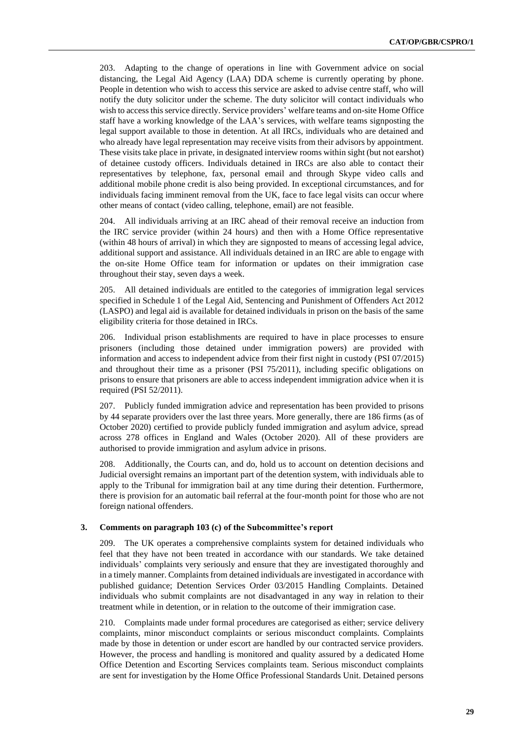203. Adapting to the change of operations in line with Government advice on social distancing, the Legal Aid Agency (LAA) DDA scheme is currently operating by phone. People in detention who wish to access this service are asked to advise centre staff, who will notify the duty solicitor under the scheme. The duty solicitor will contact individuals who wish to access this service directly. Service providers' welfare teams and on-site Home Office staff have a working knowledge of the LAA's services, with welfare teams signposting the legal support available to those in detention. At all IRCs, individuals who are detained and who already have legal representation may receive visits from their advisors by appointment. These visits take place in private, in designated interview rooms within sight (but not earshot) of detainee custody officers. Individuals detained in IRCs are also able to contact their representatives by telephone, fax, personal email and through Skype video calls and additional mobile phone credit is also being provided. In exceptional circumstances, and for individuals facing imminent removal from the UK, face to face legal visits can occur where other means of contact (video calling, telephone, email) are not feasible.

204. All individuals arriving at an IRC ahead of their removal receive an induction from the IRC service provider (within 24 hours) and then with a Home Office representative (within 48 hours of arrival) in which they are signposted to means of accessing legal advice, additional support and assistance. All individuals detained in an IRC are able to engage with the on-site Home Office team for information or updates on their immigration case throughout their stay, seven days a week.

205. All detained individuals are entitled to the categories of immigration legal services specified in Schedule 1 of the Legal Aid, Sentencing and Punishment of Offenders Act 2012 (LASPO) and legal aid is available for detained individuals in prison on the basis of the same eligibility criteria for those detained in IRCs.

206. Individual prison establishments are required to have in place processes to ensure prisoners (including those detained under immigration powers) are provided with information and access to independent advice from their first night in custody (PSI 07/2015) and throughout their time as a prisoner (PSI 75/2011), including specific obligations on prisons to ensure that prisoners are able to access independent immigration advice when it is required (PSI 52/2011).

207. Publicly funded immigration advice and representation has been provided to prisons by 44 separate providers over the last three years. More generally, there are 186 firms (as of October 2020) certified to provide publicly funded immigration and asylum advice, spread across 278 offices in England and Wales (October 2020). All of these providers are authorised to provide immigration and asylum advice in prisons.

208. Additionally, the Courts can, and do, hold us to account on detention decisions and Judicial oversight remains an important part of the detention system, with individuals able to apply to the Tribunal for immigration bail at any time during their detention. Furthermore, there is provision for an automatic bail referral at the four-month point for those who are not foreign national offenders.

#### **3. Comments on paragraph 103 (c) of the Subcommittee's report**

209. The UK operates a comprehensive complaints system for detained individuals who feel that they have not been treated in accordance with our standards. We take detained individuals' complaints very seriously and ensure that they are investigated thoroughly and in a timely manner. Complaints from detained individuals are investigated in accordance with published guidance; Detention Services Order 03/2015 Handling Complaints. Detained individuals who submit complaints are not disadvantaged in any way in relation to their treatment while in detention, or in relation to the outcome of their immigration case.

210. Complaints made under formal procedures are categorised as either; service delivery complaints, minor misconduct complaints or serious misconduct complaints. Complaints made by those in detention or under escort are handled by our contracted service providers. However, the process and handling is monitored and quality assured by a dedicated Home Office Detention and Escorting Services complaints team. Serious misconduct complaints are sent for investigation by the Home Office Professional Standards Unit. Detained persons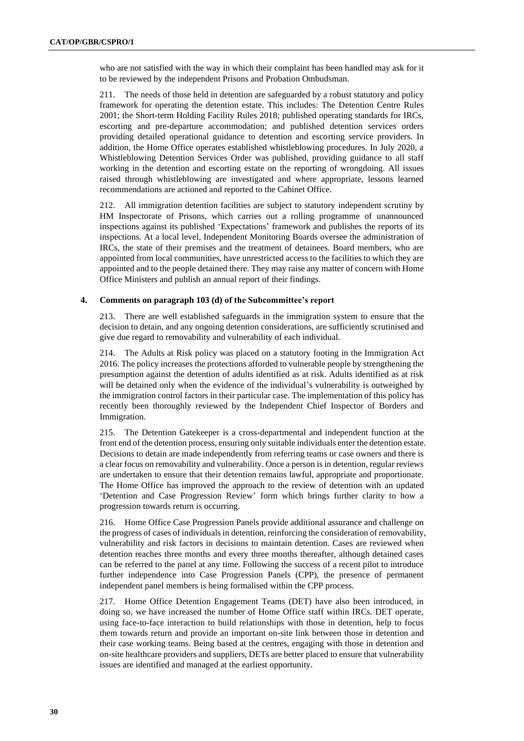who are not satisfied with the way in which their complaint has been handled may ask for it to be reviewed by the independent Prisons and Probation Ombudsman.

211. The needs of those held in detention are safeguarded by a robust statutory and policy framework for operating the detention estate. This includes: The Detention Centre Rules 2001; the Short-term Holding Facility Rules 2018; published operating standards for IRCs, escorting and pre-departure accommodation; and published detention services orders providing detailed operational guidance to detention and escorting service providers. In addition, the Home Office operates established whistleblowing procedures. In July 2020, a Whistleblowing Detention Services Order was published, providing guidance to all staff working in the detention and escorting estate on the reporting of wrongdoing. All issues raised through whistleblowing are investigated and where appropriate, lessons learned recommendations are actioned and reported to the Cabinet Office.

212. All immigration detention facilities are subject to statutory independent scrutiny by HM Inspectorate of Prisons, which carries out a rolling programme of unannounced inspections against its published 'Expectations' framework and publishes the reports of its inspections. At a local level, Independent Monitoring Boards oversee the administration of IRCs, the state of their premises and the treatment of detainees. Board members, who are appointed from local communities, have unrestricted access to the facilities to which they are appointed and to the people detained there. They may raise any matter of concern with Home Office Ministers and publish an annual report of their findings.

#### **4. Comments on paragraph 103 (d) of the Subcommittee's report**

213. There are well established safeguards in the immigration system to ensure that the decision to detain, and any ongoing detention considerations, are sufficiently scrutinised and give due regard to removability and vulnerability of each individual.

214. The Adults at Risk policy was placed on a statutory footing in the Immigration Act 2016. The policy increases the protections afforded to vulnerable people by strengthening the presumption against the detention of adults identified as at risk. Adults identified as at risk will be detained only when the evidence of the individual's vulnerability is outweighed by the immigration control factors in their particular case. The implementation of this policy has recently been thoroughly reviewed by the Independent Chief Inspector of Borders and Immigration.

215. The Detention Gatekeeper is a cross-departmental and independent function at the front end of the detention process, ensuring only suitable individuals enter the detention estate. Decisions to detain are made independently from referring teams or case owners and there is a clear focus on removability and vulnerability. Once a person is in detention, regular reviews are undertaken to ensure that their detention remains lawful, appropriate and proportionate. The Home Office has improved the approach to the review of detention with an updated 'Detention and Case Progression Review' form which brings further clarity to how a progression towards return is occurring.

216. Home Office Case Progression Panels provide additional assurance and challenge on the progress of cases of individuals in detention, reinforcing the consideration of removability, vulnerability and risk factors in decisions to maintain detention. Cases are reviewed when detention reaches three months and every three months thereafter, although detained cases can be referred to the panel at any time. Following the success of a recent pilot to introduce further independence into Case Progression Panels (CPP), the presence of permanent independent panel members is being formalised within the CPP process.

217. Home Office Detention Engagement Teams (DET) have also been introduced, in doing so, we have increased the number of Home Office staff within IRCs. DET operate, using face-to-face interaction to build relationships with those in detention, help to focus them towards return and provide an important on-site link between those in detention and their case working teams. Being based at the centres, engaging with those in detention and on-site healthcare providers and suppliers, DETs are better placed to ensure that vulnerability issues are identified and managed at the earliest opportunity.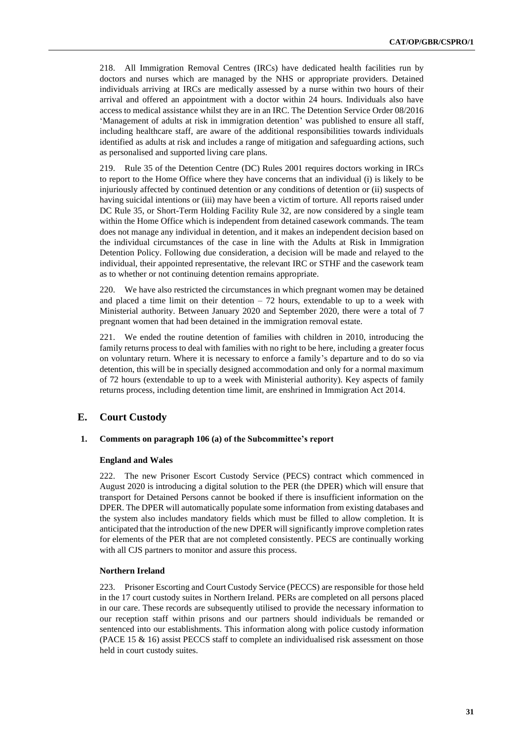218. All Immigration Removal Centres (IRCs) have dedicated health facilities run by doctors and nurses which are managed by the NHS or appropriate providers. Detained individuals arriving at IRCs are medically assessed by a nurse within two hours of their arrival and offered an appointment with a doctor within 24 hours. Individuals also have access to medical assistance whilst they are in an IRC. The Detention Service Order 08/2016 'Management of adults at risk in immigration detention' was published to ensure all staff, including healthcare staff, are aware of the additional responsibilities towards individuals identified as adults at risk and includes a range of mitigation and safeguarding actions, such as personalised and supported living care plans.

219. Rule 35 of the Detention Centre (DC) Rules 2001 requires doctors working in IRCs to report to the Home Office where they have concerns that an individual (i) is likely to be injuriously affected by continued detention or any conditions of detention or (ii) suspects of having suicidal intentions or (iii) may have been a victim of torture. All reports raised under DC Rule 35, or Short-Term Holding Facility Rule 32, are now considered by a single team within the Home Office which is independent from detained casework commands. The team does not manage any individual in detention, and it makes an independent decision based on the individual circumstances of the case in line with the Adults at Risk in Immigration Detention Policy. Following due consideration, a decision will be made and relayed to the individual, their appointed representative, the relevant IRC or STHF and the casework team as to whether or not continuing detention remains appropriate.

220. We have also restricted the circumstances in which pregnant women may be detained and placed a time limit on their detention  $-72$  hours, extendable to up to a week with Ministerial authority. Between January 2020 and September 2020, there were a total of 7 pregnant women that had been detained in the immigration removal estate.

221. We ended the routine detention of families with children in 2010, introducing the family returns process to deal with families with no right to be here, including a greater focus on voluntary return. Where it is necessary to enforce a family's departure and to do so via detention, this will be in specially designed accommodation and only for a normal maximum of 72 hours (extendable to up to a week with Ministerial authority). Key aspects of family returns process, including detention time limit, are enshrined in Immigration Act 2014.

# **E. Court Custody**

#### **1. Comments on paragraph 106 (a) of the Subcommittee's report**

#### **England and Wales**

222. The new Prisoner Escort Custody Service (PECS) contract which commenced in August 2020 is introducing a digital solution to the PER (the DPER) which will ensure that transport for Detained Persons cannot be booked if there is insufficient information on the DPER. The DPER will automatically populate some information from existing databases and the system also includes mandatory fields which must be filled to allow completion. It is anticipated that the introduction of the new DPER will significantly improve completion rates for elements of the PER that are not completed consistently. PECS are continually working with all CJS partners to monitor and assure this process.

#### **Northern Ireland**

223. Prisoner Escorting and Court Custody Service (PECCS) are responsible for those held in the 17 court custody suites in Northern Ireland. PERs are completed on all persons placed in our care. These records are subsequently utilised to provide the necessary information to our reception staff within prisons and our partners should individuals be remanded or sentenced into our establishments. This information along with police custody information (PACE 15  $\&$  16) assist PECCS staff to complete an individualised risk assessment on those held in court custody suites.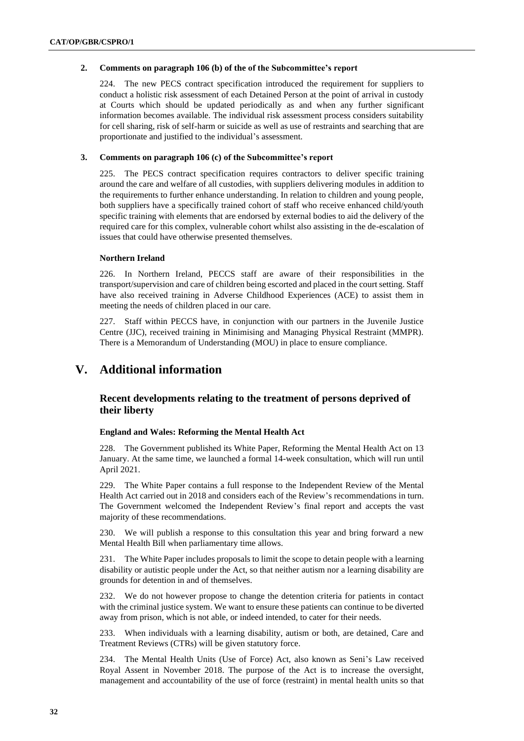## **2. Comments on paragraph 106 (b) of the of the Subcommittee's report**

224. The new PECS contract specification introduced the requirement for suppliers to conduct a holistic risk assessment of each Detained Person at the point of arrival in custody at Courts which should be updated periodically as and when any further significant information becomes available. The individual risk assessment process considers suitability for cell sharing, risk of self-harm or suicide as well as use of restraints and searching that are proportionate and justified to the individual's assessment.

### **3. Comments on paragraph 106 (c) of the Subcommittee's report**

225. The PECS contract specification requires contractors to deliver specific training around the care and welfare of all custodies, with suppliers delivering modules in addition to the requirements to further enhance understanding. In relation to children and young people, both suppliers have a specifically trained cohort of staff who receive enhanced child/youth specific training with elements that are endorsed by external bodies to aid the delivery of the required care for this complex, vulnerable cohort whilst also assisting in the de-escalation of issues that could have otherwise presented themselves.

## **Northern Ireland**

226. In Northern Ireland, PECCS staff are aware of their responsibilities in the transport/supervision and care of children being escorted and placed in the court setting. Staff have also received training in Adverse Childhood Experiences (ACE) to assist them in meeting the needs of children placed in our care.

227. Staff within PECCS have, in conjunction with our partners in the Juvenile Justice Centre (JJC), received training in Minimising and Managing Physical Restraint (MMPR). There is a Memorandum of Understanding (MOU) in place to ensure compliance.

# **V. Additional information**

# **Recent developments relating to the treatment of persons deprived of their liberty**

## **England and Wales: Reforming the Mental Health Act**

228. The Government published its White Paper, Reforming the Mental Health Act on 13 January. At the same time, we launched a formal 14-week consultation, which will run until April 2021.

229. The White Paper contains a full response to the Independent Review of the Mental Health Act carried out in 2018 and considers each of the Review's recommendations in turn. The Government welcomed the Independent Review's final report and accepts the vast majority of these recommendations.

230. We will publish a response to this consultation this year and bring forward a new Mental Health Bill when parliamentary time allows.

231. The White Paper includes proposals to limit the scope to detain people with a learning disability or autistic people under the Act, so that neither autism nor a learning disability are grounds for detention in and of themselves.

232. We do not however propose to change the detention criteria for patients in contact with the criminal justice system. We want to ensure these patients can continue to be diverted away from prison, which is not able, or indeed intended, to cater for their needs.

233. When individuals with a learning disability, autism or both, are detained, Care and Treatment Reviews (CTRs) will be given statutory force.

234. The Mental Health Units (Use of Force) Act, also known as Seni's Law received Royal Assent in November 2018. The purpose of the Act is to increase the oversight, management and accountability of the use of force (restraint) in mental health units so that